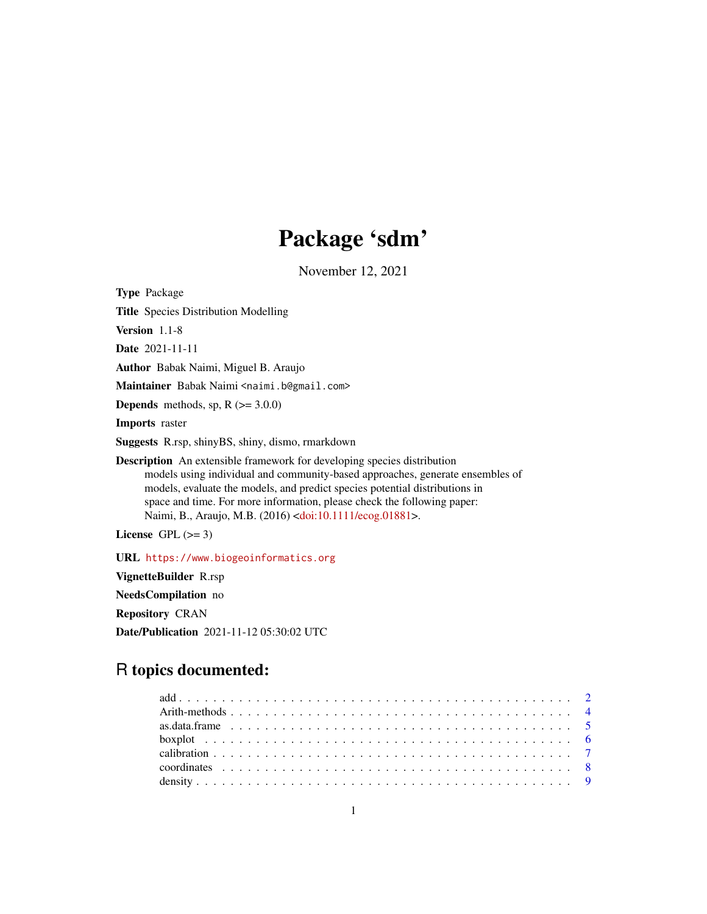# Package 'sdm'

November 12, 2021

<span id="page-0-0"></span>Type Package

Title Species Distribution Modelling

Version 1.1-8

Date 2021-11-11

Author Babak Naimi, Miguel B. Araujo

Maintainer Babak Naimi <naimi.b@gmail.com>

**Depends** methods, sp,  $R$  ( $>= 3.0.0$ )

Imports raster

Suggests R.rsp, shinyBS, shiny, dismo, rmarkdown

Description An extensible framework for developing species distribution models using individual and community-based approaches, generate ensembles of models, evaluate the models, and predict species potential distributions in space and time. For more information, please check the following paper: Naimi, B., Araujo, M.B. (2016) [<doi:10.1111/ecog.01881>](https://doi.org/10.1111/ecog.01881).

License GPL  $(>= 3)$ 

URL <https://www.biogeoinformatics.org>

VignetteBuilder R.rsp

NeedsCompilation no

Repository CRAN

Date/Publication 2021-11-12 05:30:02 UTC

## R topics documented: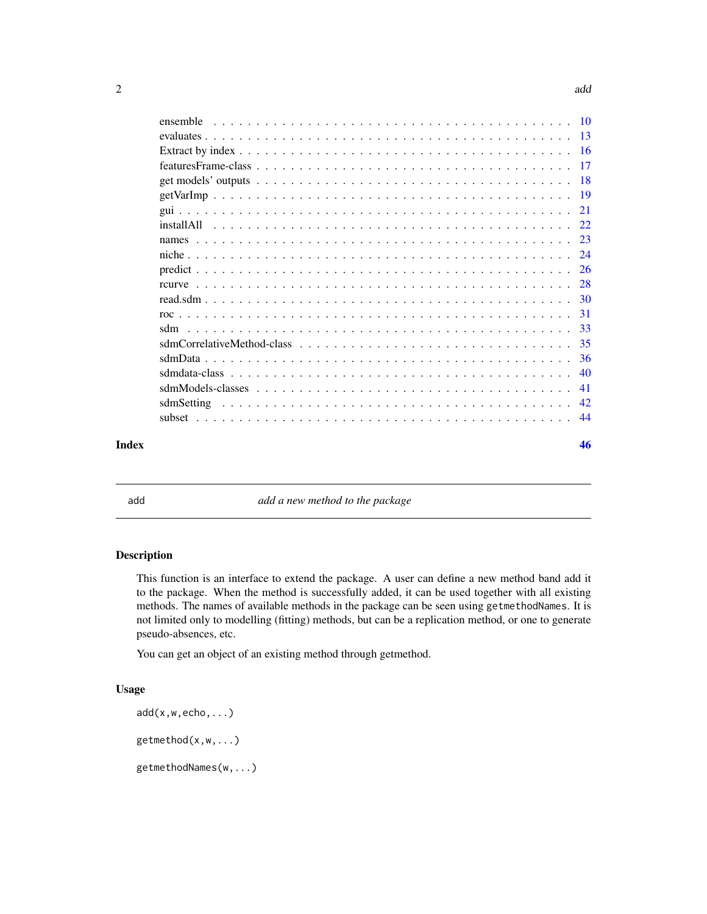<span id="page-1-0"></span>

| features Frame-class $\ldots$ , $\ldots$ , $\ldots$ , $\ldots$ , $\ldots$ , $\ldots$ , $\ldots$ , $\ldots$ , $\ldots$ , $\ldots$ , $\ldots$ , $\ldots$ , $\ldots$ | $\overline{17}$ |
|-------------------------------------------------------------------------------------------------------------------------------------------------------------------|-----------------|
|                                                                                                                                                                   |                 |
|                                                                                                                                                                   |                 |
|                                                                                                                                                                   | 21              |
|                                                                                                                                                                   |                 |
|                                                                                                                                                                   |                 |
|                                                                                                                                                                   |                 |
|                                                                                                                                                                   |                 |
|                                                                                                                                                                   | 28              |
|                                                                                                                                                                   |                 |
|                                                                                                                                                                   | 31              |
|                                                                                                                                                                   | 33              |
|                                                                                                                                                                   | 35              |
|                                                                                                                                                                   | 36              |
|                                                                                                                                                                   | 40              |
|                                                                                                                                                                   | 41              |
|                                                                                                                                                                   | -42             |
|                                                                                                                                                                   | 44              |
|                                                                                                                                                                   |                 |

#### **Index a** set of the set of the set of the set of the set of the set of the set of the set of the set of the set of the set of the set of the set of the set of the set of the set of the set of the set of the set of the s

<span id="page-1-1"></span>add **a** new method to the package

## Description

This function is an interface to extend the package. A user can define a new method band add it to the package. When the method is successfully added, it can be used together with all existing methods. The names of available methods in the package can be seen using getmethodNames. It is not limited only to modelling (fitting) methods, but can be a replication method, or one to generate pseudo-absences, etc.

You can get an object of an existing method through getmethod.

## Usage

```
add(x,w,echo,...)getmethod(x,w,...)
getmethodNames(w,...)
```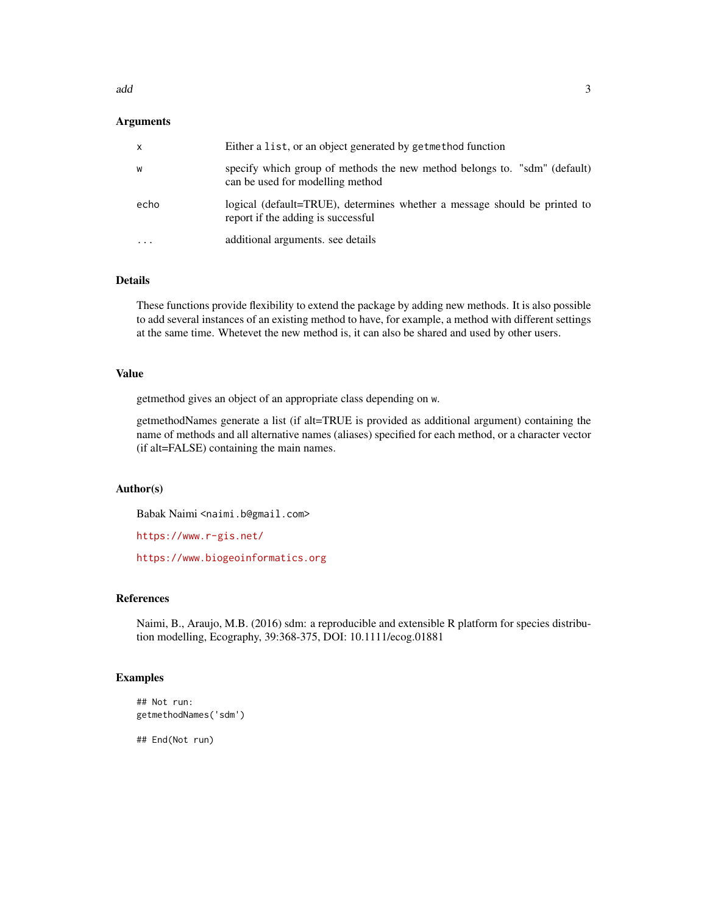#### add  $\overline{3}$

## Arguments

| $\mathsf{x}$ | Either a list, or an object generated by getmethod function                                                     |
|--------------|-----------------------------------------------------------------------------------------------------------------|
| W            | specify which group of methods the new method belongs to. "sdm" (default)<br>can be used for modelling method   |
| echo         | logical (default=TRUE), determines whether a message should be printed to<br>report if the adding is successful |
| .            | additional arguments, see details                                                                               |

## Details

These functions provide flexibility to extend the package by adding new methods. It is also possible to add several instances of an existing method to have, for example, a method with different settings at the same time. Whetevet the new method is, it can also be shared and used by other users.

## Value

getmethod gives an object of an appropriate class depending on w.

getmethodNames generate a list (if alt=TRUE is provided as additional argument) containing the name of methods and all alternative names (aliases) specified for each method, or a character vector (if alt=FALSE) containing the main names.

## Author(s)

Babak Naimi <naimi.b@gmail.com>

<https://www.r-gis.net/>

<https://www.biogeoinformatics.org>

## References

Naimi, B., Araujo, M.B. (2016) sdm: a reproducible and extensible R platform for species distribution modelling, Ecography, 39:368-375, DOI: 10.1111/ecog.01881

## Examples

```
## Not run:
getmethodNames('sdm')
```
## End(Not run)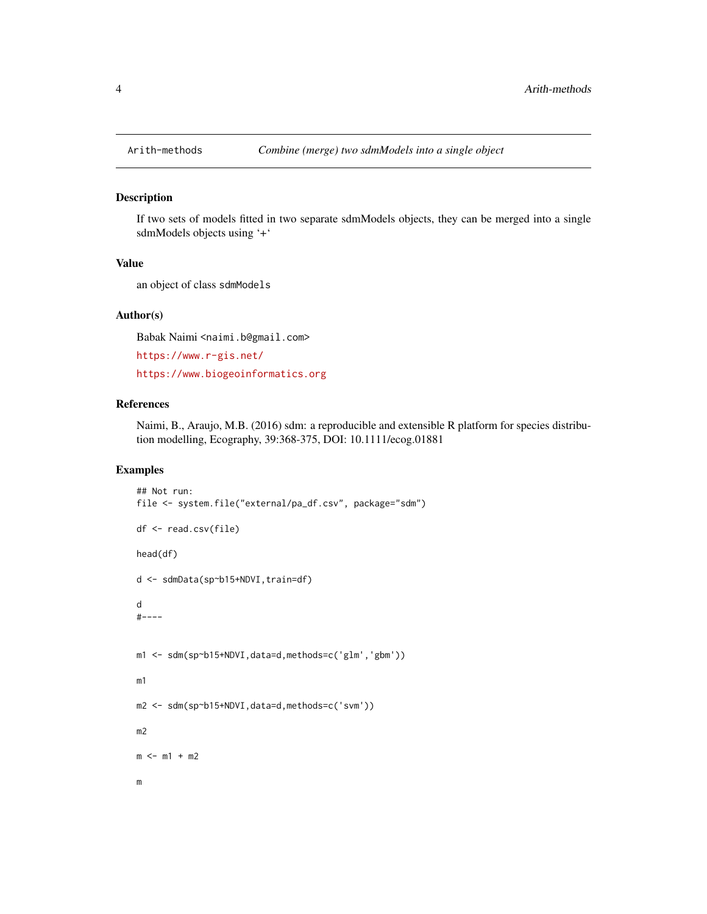<span id="page-3-0"></span>

#### Description

If two sets of models fitted in two separate sdmModels objects, they can be merged into a single sdmModels objects using '+'

## Value

an object of class sdmModels

## Author(s)

Babak Naimi <naimi.b@gmail.com>

<https://www.r-gis.net/>

<https://www.biogeoinformatics.org>

## References

Naimi, B., Araujo, M.B. (2016) sdm: a reproducible and extensible R platform for species distribution modelling, Ecography, 39:368-375, DOI: 10.1111/ecog.01881

## Examples

```
## Not run:
file <- system.file("external/pa_df.csv", package="sdm")
df <- read.csv(file)
head(df)
d <- sdmData(sp~b15+NDVI,train=df)
d
#----
m1 <- sdm(sp~b15+NDVI,data=d,methods=c('glm','gbm'))
m1
m2 <- sdm(sp~b15+NDVI,data=d,methods=c('svm'))
m2
m < - m1 + m2m
```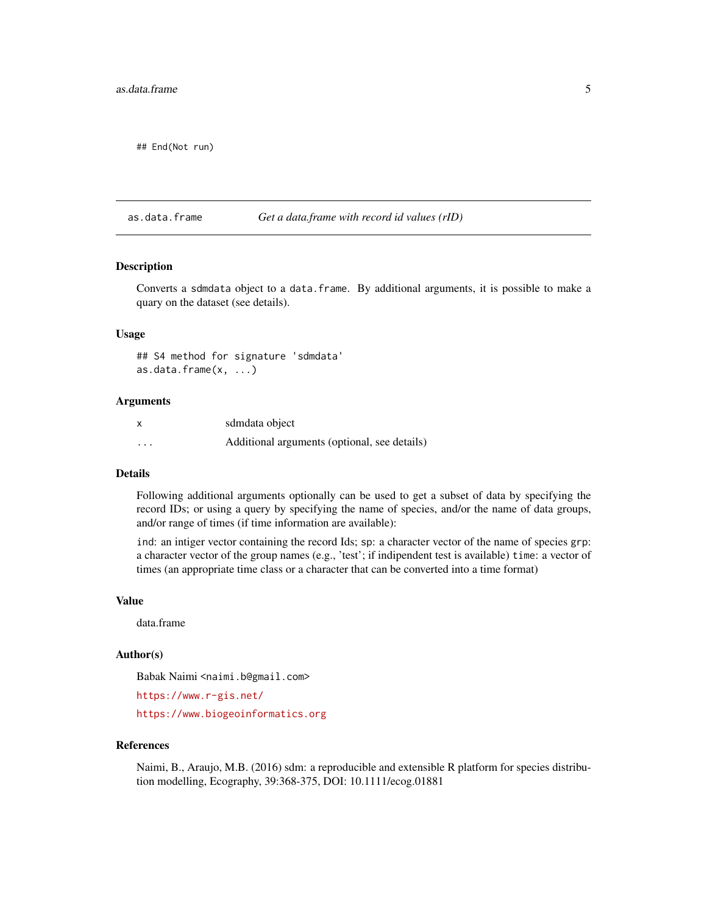#### <span id="page-4-0"></span>as.data.frame 5

## End(Not run)

as.data.frame *Get a data.frame with record id values (rID)*

## Description

Converts a sdmdata object to a data.frame. By additional arguments, it is possible to make a quary on the dataset (see details).

## Usage

## S4 method for signature 'sdmdata' as.data.frame(x, ...)

#### Arguments

|                         | sdmdata object                               |
|-------------------------|----------------------------------------------|
| $\cdot$ $\cdot$ $\cdot$ | Additional arguments (optional, see details) |

## Details

Following additional arguments optionally can be used to get a subset of data by specifying the record IDs; or using a query by specifying the name of species, and/or the name of data groups, and/or range of times (if time information are available):

ind: an intiger vector containing the record Ids; sp: a character vector of the name of species grp: a character vector of the group names (e.g., 'test'; if indipendent test is available) time: a vector of times (an appropriate time class or a character that can be converted into a time format)

#### Value

data.frame

## Author(s)

Babak Naimi <naimi.b@gmail.com>

<https://www.r-gis.net/>

<https://www.biogeoinformatics.org>

#### References

Naimi, B., Araujo, M.B. (2016) sdm: a reproducible and extensible R platform for species distribution modelling, Ecography, 39:368-375, DOI: 10.1111/ecog.01881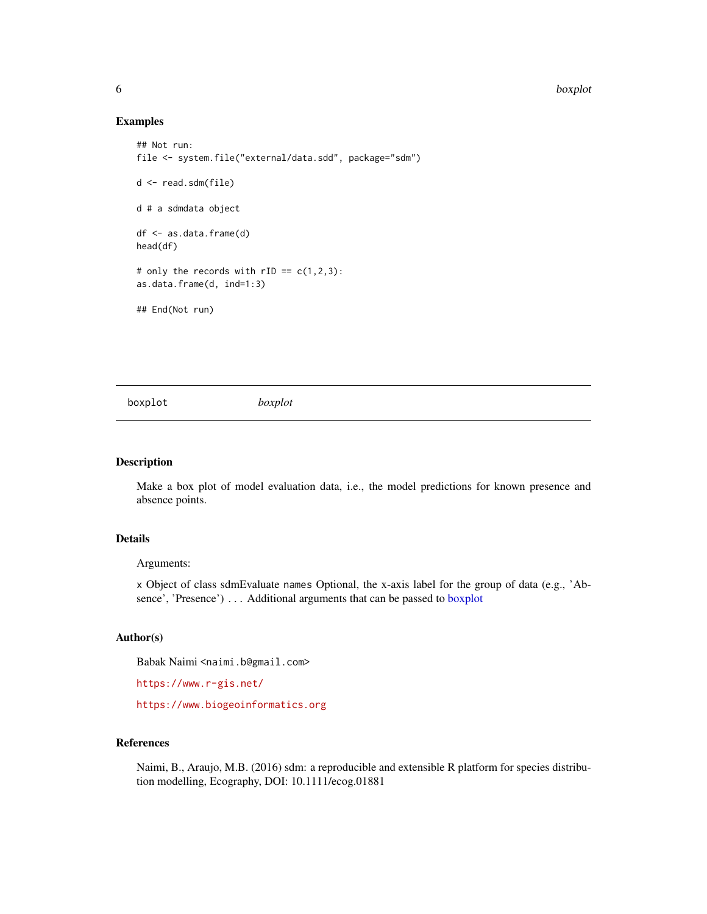6 boxplot boxplot boxplot boxplot boxplot boxplot boxplot boxplot boxplot boxplot boxplot boxplot boxplot boxplot boxplot boxplot boxplot boxplot boxplot boxplot boxplot boxplot boxplot boxplot boxplot boxplot boxplot boxp

#### Examples

```
## Not run:
file <- system.file("external/data.sdd", package="sdm")
d <- read.sdm(file)
d # a sdmdata object
df <- as.data.frame(d)
head(df)
# only the records with rID = c(1,2,3):
as.data.frame(d, ind=1:3)
## End(Not run)
```
<span id="page-5-1"></span>boxplot *boxplot*

#### Description

Make a box plot of model evaluation data, i.e., the model predictions for known presence and absence points.

## Details

Arguments:

x Object of class sdmEvaluate names Optional, the x-axis label for the group of data (e.g., 'Absence', 'Presence') . . . Additional arguments that can be passed to [boxplot](#page-5-1)

## Author(s)

Babak Naimi <naimi.b@gmail.com>

<https://www.r-gis.net/>

<https://www.biogeoinformatics.org>

#### References

Naimi, B., Araujo, M.B. (2016) sdm: a reproducible and extensible R platform for species distribution modelling, Ecography, DOI: 10.1111/ecog.01881

<span id="page-5-0"></span>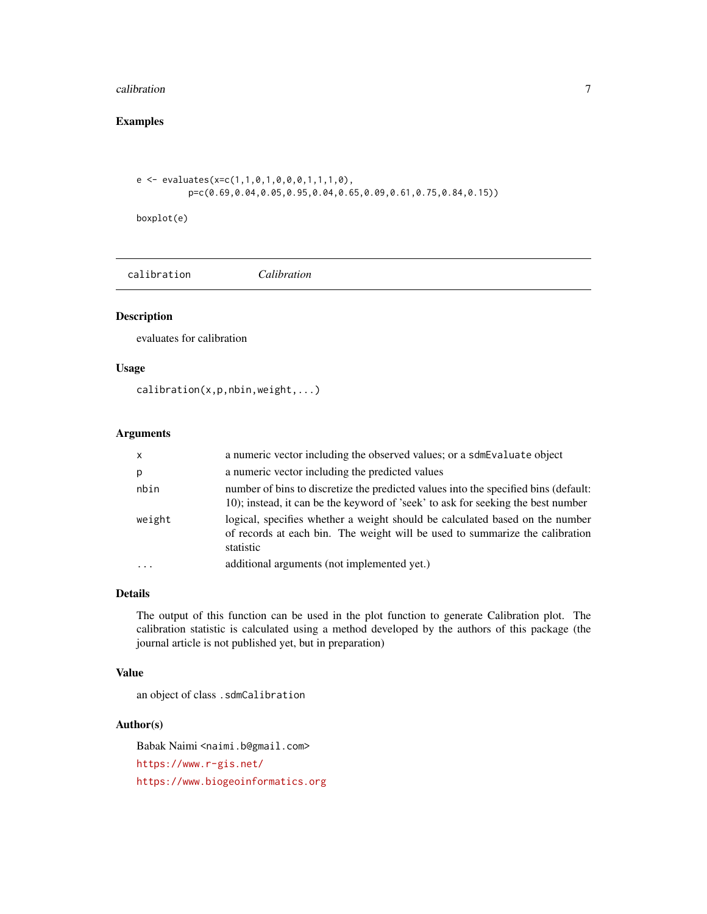#### <span id="page-6-0"></span> $\alpha$  calibration  $\alpha$   $\beta$

## Examples

```
e <- evaluates(x=c(1,1,0,1,0,0,0,1,1,1,0),
         p=c(0.69,0.04,0.05,0.95,0.04,0.65,0.09,0.61,0.75,0.84,0.15))
```
boxplot(e)

|--|--|

## Description

evaluates for calibration

## Usage

calibration(x,p,nbin,weight,...)

## Arguments

| $\mathsf{x}$ | a numeric vector including the observed values; or a sdmEvaluate object                                                                                                   |
|--------------|---------------------------------------------------------------------------------------------------------------------------------------------------------------------------|
| р            | a numeric vector including the predicted values                                                                                                                           |
| nbin         | number of bins to discretize the predicted values into the specified bins (default:<br>10); instead, it can be the keyword of 'seek' to ask for seeking the best number   |
| weight       | logical, specifies whether a weight should be calculated based on the number<br>of records at each bin. The weight will be used to summarize the calibration<br>statistic |
| $\ddotsc$    | additional arguments (not implemented yet.)                                                                                                                               |

## Details

The output of this function can be used in the plot function to generate Calibration plot. The calibration statistic is calculated using a method developed by the authors of this package (the journal article is not published yet, but in preparation)

## Value

an object of class .sdmCalibration

#### Author(s)

Babak Naimi <naimi.b@gmail.com> <https://www.r-gis.net/> <https://www.biogeoinformatics.org>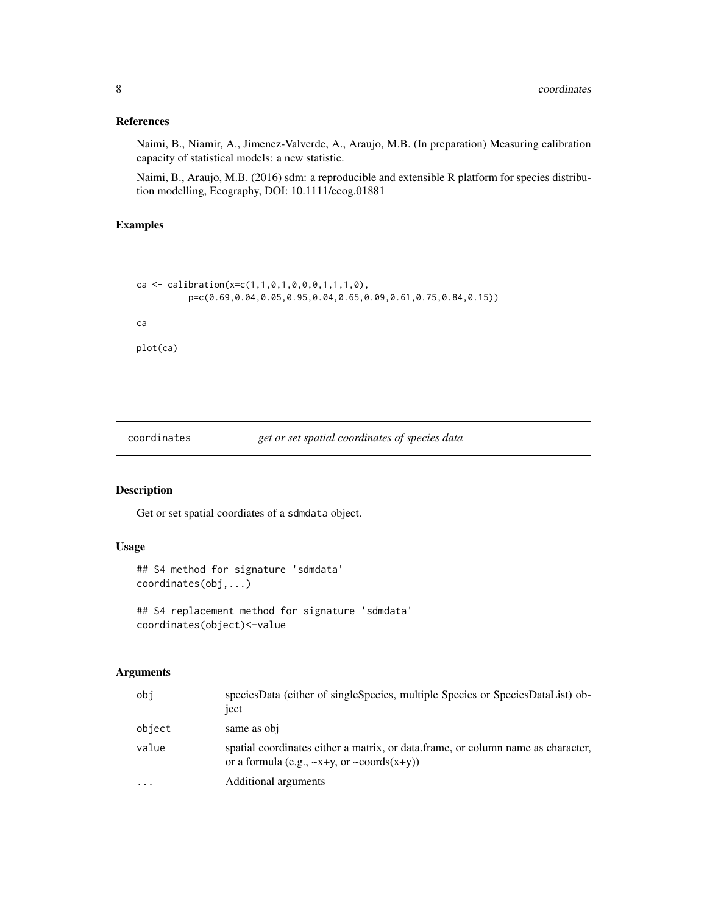## <span id="page-7-0"></span>References

Naimi, B., Niamir, A., Jimenez-Valverde, A., Araujo, M.B. (In preparation) Measuring calibration capacity of statistical models: a new statistic.

Naimi, B., Araujo, M.B. (2016) sdm: a reproducible and extensible R platform for species distribution modelling, Ecography, DOI: 10.1111/ecog.01881

## Examples

```
ca <- calibration(x=c(1,1,0,1,0,0,0,1,1,1,0),
         p=c(0.69,0.04,0.05,0.95,0.04,0.65,0.09,0.61,0.75,0.84,0.15))
ca
plot(ca)
```
coordinates *get or set spatial coordinates of species data*

## Description

Get or set spatial coordiates of a sdmdata object.

## Usage

```
## S4 method for signature 'sdmdata'
coordinates(obj,...)
## S4 replacement method for signature 'sdmdata'
```
coordinates(object)<-value

## Arguments

| obi       | speciesData (either of singleSpecies, multiple Species or SpeciesDataList) ob-<br>ject                                                     |
|-----------|--------------------------------------------------------------------------------------------------------------------------------------------|
| object    | same as obj                                                                                                                                |
| value     | spatial coordinates either a matrix, or data frame, or column name as character,<br>or a formula (e.g., $\sim$ x+y, or $\sim$ coords(x+y)) |
| $\ddotsc$ | Additional arguments                                                                                                                       |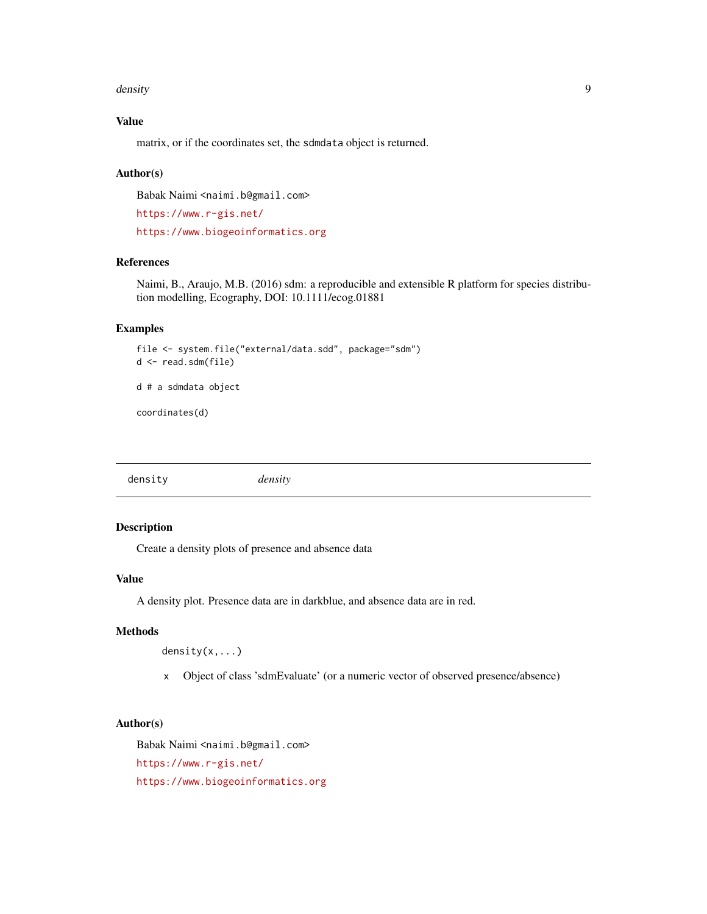#### <span id="page-8-0"></span>density **9**

## Value

matrix, or if the coordinates set, the sdmdata object is returned.

#### Author(s)

Babak Naimi <naimi.b@gmail.com>

<https://www.r-gis.net/> <https://www.biogeoinformatics.org>

#### References

Naimi, B., Araujo, M.B. (2016) sdm: a reproducible and extensible R platform for species distribution modelling, Ecography, DOI: 10.1111/ecog.01881

#### Examples

```
file <- system.file("external/data.sdd", package="sdm")
d <- read.sdm(file)
```
d # a sdmdata object

coordinates(d)

density *density*

## Description

Create a density plots of presence and absence data

## Value

A density plot. Presence data are in darkblue, and absence data are in red.

## Methods

density(x,...)

x Object of class 'sdmEvaluate' (or a numeric vector of observed presence/absence)

## Author(s)

Babak Naimi <naimi.b@gmail.com> <https://www.r-gis.net/> <https://www.biogeoinformatics.org>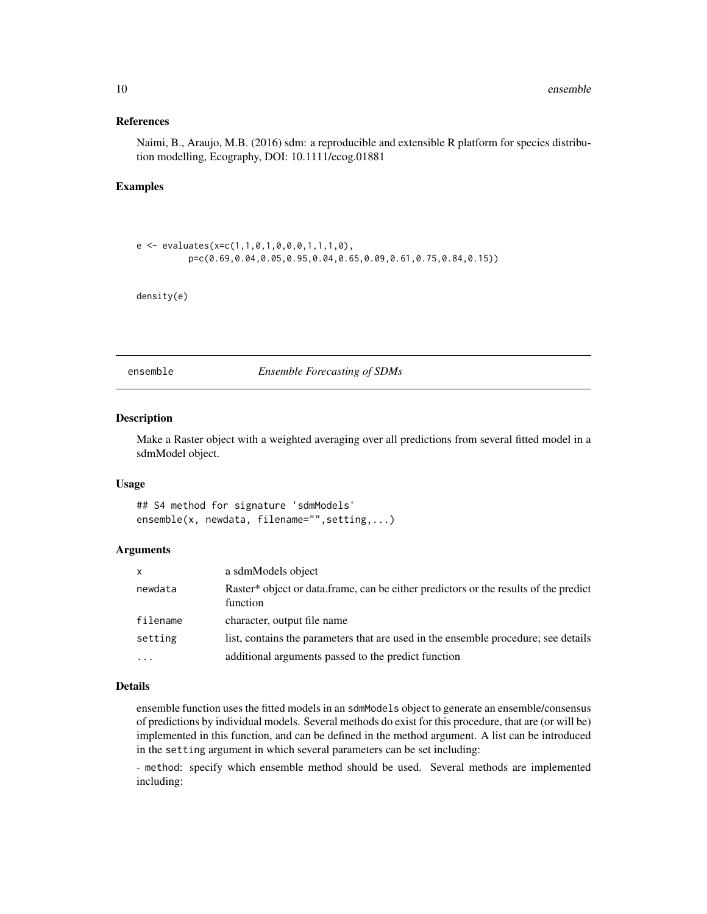#### <span id="page-9-0"></span>References

Naimi, B., Araujo, M.B. (2016) sdm: a reproducible and extensible R platform for species distribution modelling, Ecography, DOI: 10.1111/ecog.01881

## Examples

```
e \leftarrow \text{evaluates}(x=c(1,1,0,1,0,0,0,1,1,1,0),p=c(0.69,0.04,0.05,0.95,0.04,0.65,0.09,0.61,0.75,0.84,0.15))
```
density(e)

ensemble *Ensemble Forecasting of SDMs*

## Description

Make a Raster object with a weighted averaging over all predictions from several fitted model in a sdmModel object.

#### Usage

## S4 method for signature 'sdmModels' ensemble(x, newdata, filename="", setting,...)

## Arguments

| X         | a sdmModels object                                                                               |
|-----------|--------------------------------------------------------------------------------------------------|
| newdata   | Raster* object or data.frame, can be either predictors or the results of the predict<br>function |
| filename  | character, output file name                                                                      |
| setting   | list, contains the parameters that are used in the ensemble procedure; see details               |
| $\ddotsc$ | additional arguments passed to the predict function                                              |

## Details

ensemble function uses the fitted models in an sdmModels object to generate an ensemble/consensus of predictions by individual models. Several methods do exist for this procedure, that are (or will be) implemented in this function, and can be defined in the method argument. A list can be introduced in the setting argument in which several parameters can be set including:

- method: specify which ensemble method should be used. Several methods are implemented including: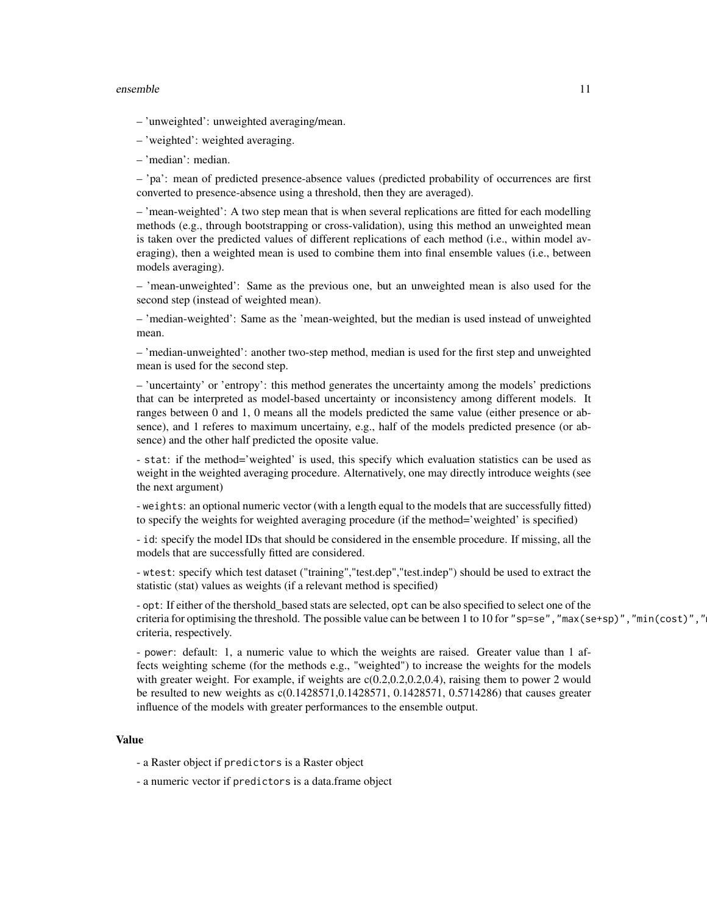#### ensemble the contract of the contract of the contract of the contract of the contract of the contract of the contract of the contract of the contract of the contract of the contract of the contract of the contract of the c

- 'unweighted': unweighted averaging/mean.
- 'weighted': weighted averaging.
- 'median': median.

– 'pa': mean of predicted presence-absence values (predicted probability of occurrences are first converted to presence-absence using a threshold, then they are averaged).

– 'mean-weighted': A two step mean that is when several replications are fitted for each modelling methods (e.g., through bootstrapping or cross-validation), using this method an unweighted mean is taken over the predicted values of different replications of each method (i.e., within model averaging), then a weighted mean is used to combine them into final ensemble values (i.e., between models averaging).

– 'mean-unweighted': Same as the previous one, but an unweighted mean is also used for the second step (instead of weighted mean).

– 'median-weighted': Same as the 'mean-weighted, but the median is used instead of unweighted mean.

– 'median-unweighted': another two-step method, median is used for the first step and unweighted mean is used for the second step.

– 'uncertainty' or 'entropy': this method generates the uncertainty among the models' predictions that can be interpreted as model-based uncertainty or inconsistency among different models. It ranges between 0 and 1, 0 means all the models predicted the same value (either presence or absence), and 1 referes to maximum uncertainy, e.g., half of the models predicted presence (or absence) and the other half predicted the oposite value.

- stat: if the method='weighted' is used, this specify which evaluation statistics can be used as weight in the weighted averaging procedure. Alternatively, one may directly introduce weights (see the next argument)

- weights: an optional numeric vector (with a length equal to the models that are successfully fitted) to specify the weights for weighted averaging procedure (if the method='weighted' is specified)

- id: specify the model IDs that should be considered in the ensemble procedure. If missing, all the models that are successfully fitted are considered.

- wtest: specify which test dataset ("training","test.dep","test.indep") should be used to extract the statistic (stat) values as weights (if a relevant method is specified)

- opt: If either of the thershold\_based stats are selected, opt can be also specified to select one of the criteria for optimising the threshold. The possible value can be between 1 to 10 for "sp=se", "max(se+sp)", "min(cost)", " criteria, respectively.

- power: default: 1, a numeric value to which the weights are raised. Greater value than 1 affects weighting scheme (for the methods e.g., "weighted") to increase the weights for the models with greater weight. For example, if weights are  $c(0.2, 0.2, 0.2, 0.4)$ , raising them to power 2 would be resulted to new weights as  $c(0.1428571, 0.1428571, 0.1428571, 0.5714286)$  that causes greater influence of the models with greater performances to the ensemble output.

#### Value

- a Raster object if predictors is a Raster object
- a numeric vector if predictors is a data.frame object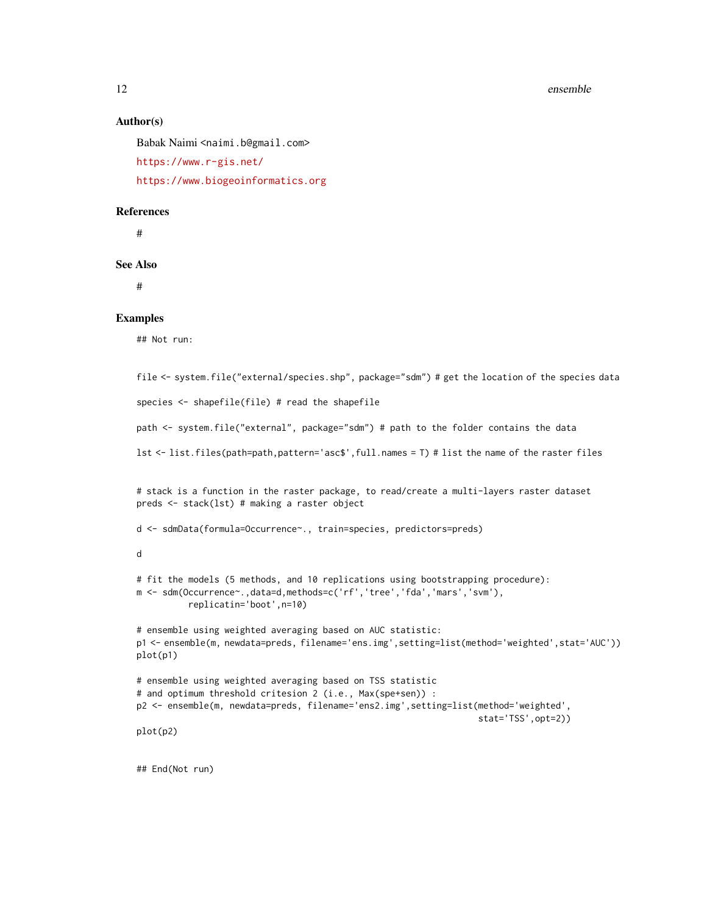#### 12 ensemble

#### Author(s)

Babak Naimi <naimi.b@gmail.com> <https://www.r-gis.net/> <https://www.biogeoinformatics.org>

#### References

#

See Also

#

#### Examples

## Not run:

```
file <- system.file("external/species.shp", package="sdm") # get the location of the species data
species <- shapefile(file) # read the shapefile
path <- system.file("external", package="sdm") # path to the folder contains the data
lst <- list.files(path=path,pattern='asc$',full.names = T) # list the name of the raster files
# stack is a function in the raster package, to read/create a multi-layers raster dataset
preds <- stack(lst) # making a raster object
d <- sdmData(formula=Occurrence~., train=species, predictors=preds)
d
# fit the models (5 methods, and 10 replications using bootstrapping procedure):
m <- sdm(Occurrence~.,data=d,methods=c('rf','tree','fda','mars','svm'),
          replicatin='boot',n=10)
# ensemble using weighted averaging based on AUC statistic:
p1 <- ensemble(m, newdata=preds, filename='ens.img',setting=list(method='weighted',stat='AUC'))
plot(p1)
# ensemble using weighted averaging based on TSS statistic
# and optimum threshold critesion 2 (i.e., Max(spe+sen)) :
p2 <- ensemble(m, newdata=preds, filename='ens2.img',setting=list(method='weighted',
                                                                   stat='TSS',opt=2))
plot(p2)
## End(Not run)
```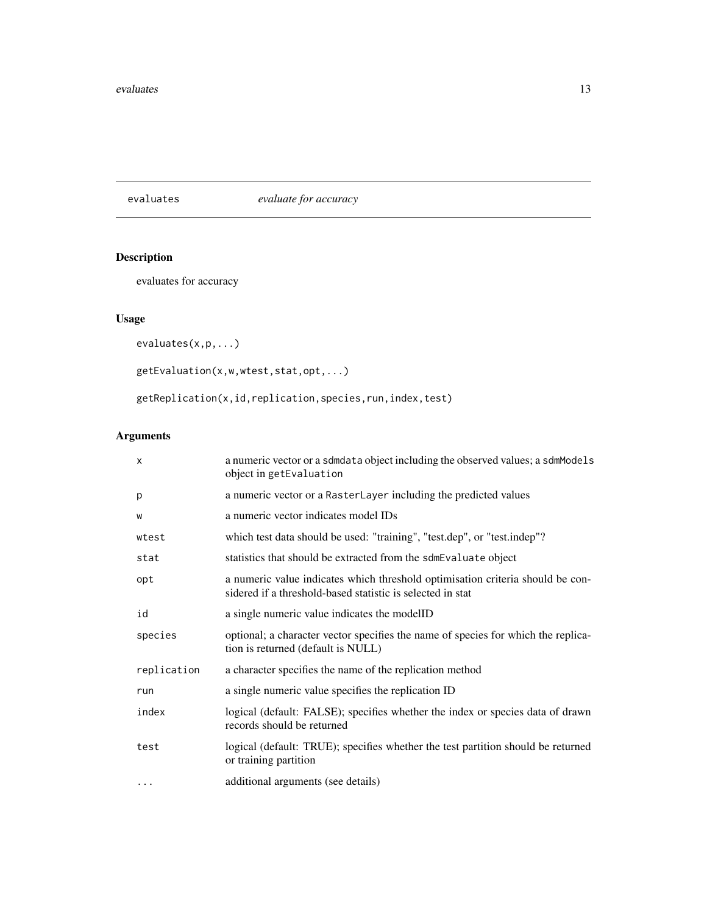<span id="page-12-0"></span>evaluates *evaluate for accuracy*

## Description

evaluates for accuracy

## Usage

evaluates(x,p,...)

```
getEvaluation(x,w,wtest,stat,opt,...)
```
getReplication(x,id,replication,species,run,index,test)

## Arguments

| $\times$    | a numeric vector or a sdmdata object including the observed values; a sdmModels<br>object in getEvaluation                                   |
|-------------|----------------------------------------------------------------------------------------------------------------------------------------------|
| p           | a numeric vector or a RasterLayer including the predicted values                                                                             |
| W           | a numeric vector indicates model IDs                                                                                                         |
| wtest       | which test data should be used: "training", "test.dep", or "test.indep"?                                                                     |
| stat        | statistics that should be extracted from the sdmEvaluate object                                                                              |
| opt         | a numeric value indicates which threshold optimisation criteria should be con-<br>sidered if a threshold-based statistic is selected in stat |
| id          | a single numeric value indicates the modelID                                                                                                 |
| species     | optional; a character vector specifies the name of species for which the replica-<br>tion is returned (default is NULL)                      |
| replication | a character specifies the name of the replication method                                                                                     |
| run         | a single numeric value specifies the replication ID                                                                                          |
| index       | logical (default: FALSE); specifies whether the index or species data of drawn<br>records should be returned                                 |
| test        | logical (default: TRUE); specifies whether the test partition should be returned<br>or training partition                                    |
| $\cdots$    | additional arguments (see details)                                                                                                           |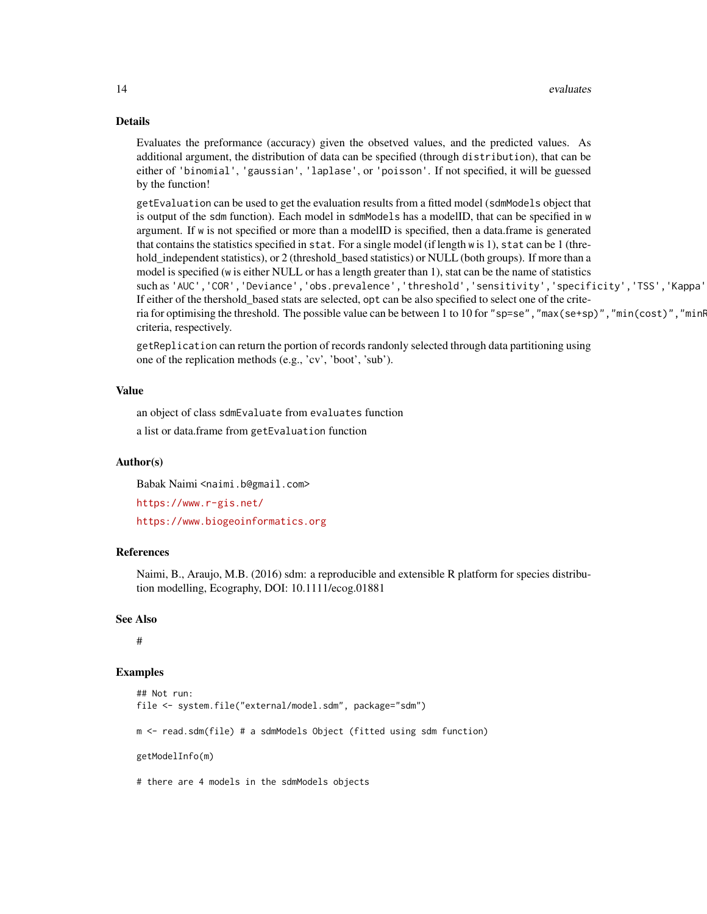#### 14 evaluates explored to the contract of the contract of the contract of the contract of the contract of the contract of the contract of the contract of the contract of the contract of the contract of the contract of the c

#### Details

Evaluates the preformance (accuracy) given the obsetved values, and the predicted values. As additional argument, the distribution of data can be specified (through distribution), that can be either of 'binomial', 'gaussian', 'laplase', or 'poisson'. If not specified, it will be guessed by the function!

getEvaluation can be used to get the evaluation results from a fitted model (sdmModels object that is output of the sdm function). Each model in sdmModels has a modelID, that can be specified in w argument. If w is not specified or more than a modelID is specified, then a data.frame is generated that contains the statistics specified in stat. For a single model (if length w is 1), stat can be 1 (threhold\_independent statistics), or 2 (threshold\_based statistics) or NULL (both groups). If more than a model is specified (w is either NULL or has a length greater than 1), stat can be the name of statistics such as 'AUC','COR','Deviance','obs.prevalence','threshold','sensitivity','specificity','TSS','Kappa' If either of the thershold\_based stats are selected, opt can be also specified to select one of the criteria for optimising the threshold. The possible value can be between 1 to 10 for "sp=se", "max(se+sp)", "min(cost)", "minf criteria, respectively.

getReplication can return the portion of records randonly selected through data partitioning using one of the replication methods (e.g., 'cv', 'boot', 'sub').

#### Value

an object of class sdmEvaluate from evaluates function a list or data.frame from getEvaluation function

## Author(s)

Babak Naimi <naimi.b@gmail.com>

<https://www.r-gis.net/>

<https://www.biogeoinformatics.org>

## References

Naimi, B., Araujo, M.B. (2016) sdm: a reproducible and extensible R platform for species distribution modelling, Ecography, DOI: 10.1111/ecog.01881

#### See Also

#

#### Examples

```
## Not run:
file <- system.file("external/model.sdm", package="sdm")
m <- read.sdm(file) # a sdmModels Object (fitted using sdm function)
getModelInfo(m)
# there are 4 models in the sdmModels objects
```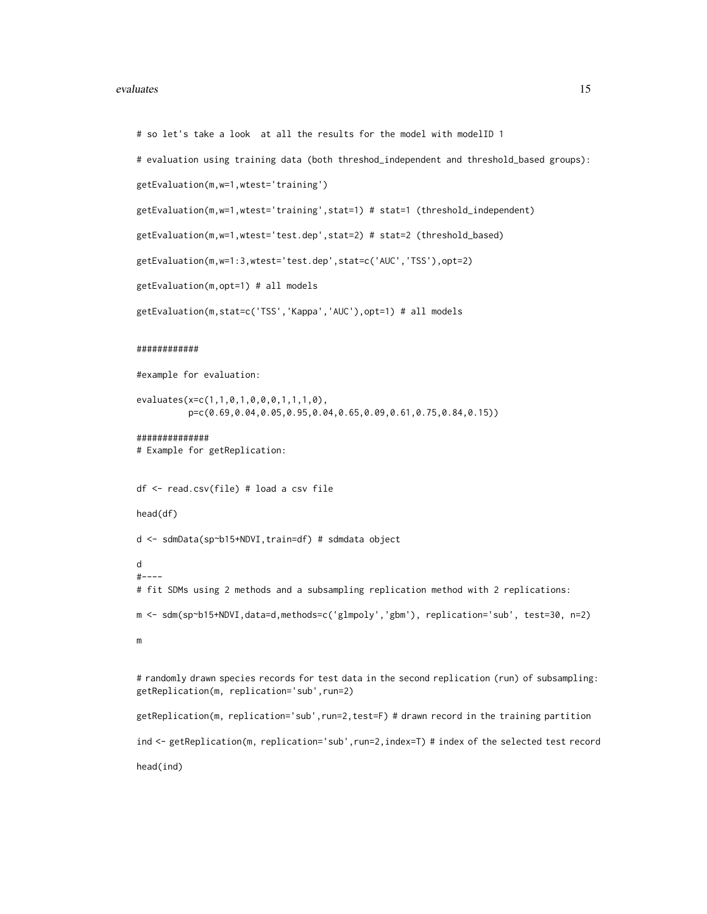#### evaluates and the contract of the contract of the contract of the contract of the contract of the contract of the contract of the contract of the contract of the contract of the contract of the contract of the contract of

```
# so let's take a look at all the results for the model with modelID 1
# evaluation using training data (both threshod_independent and threshold_based groups):
getEvaluation(m,w=1,wtest='training')
getEvaluation(m,w=1,wtest='training',stat=1) # stat=1 (threshold_independent)
getEvaluation(m,w=1,wtest='test.dep',stat=2) # stat=2 (threshold_based)
getEvaluation(m,w=1:3,wtest='test.dep',stat=c('AUC','TSS'),opt=2)
getEvaluation(m,opt=1) # all models
getEvaluation(m,stat=c('TSS','Kappa','AUC'),opt=1) # all models
############
#example for evaluation:
evaluates(x=c(1,1,0,1,0,0,0,1,1,1,0),
          p=c(0.69,0.04,0.05,0.95,0.04,0.65,0.09,0.61,0.75,0.84,0.15))
##############
# Example for getReplication:
df <- read.csv(file) # load a csv file
head(df)
d <- sdmData(sp~b15+NDVI,train=df) # sdmdata object
d
#----
# fit SDMs using 2 methods and a subsampling replication method with 2 replications:
m <- sdm(sp~b15+NDVI,data=d,methods=c('glmpoly','gbm'), replication='sub', test=30, n=2)
m
# randomly drawn species records for test data in the second replication (run) of subsampling:
getReplication(m, replication='sub',run=2)
getReplication(m, replication='sub',run=2,test=F) # drawn record in the training partition
ind <- getReplication(m, replication='sub',run=2,index=T) # index of the selected test record
head(ind)
```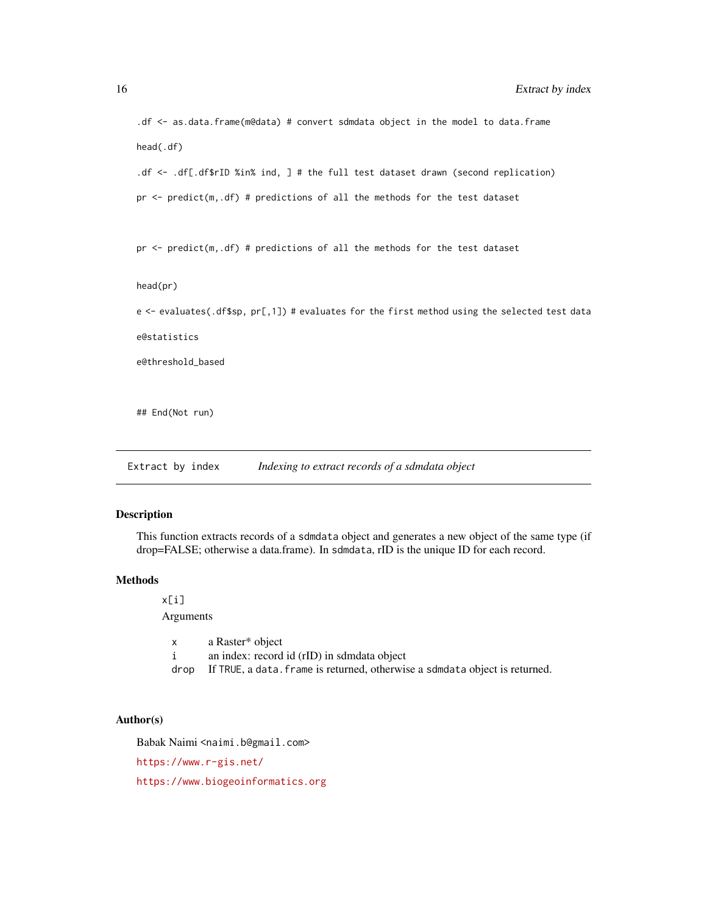```
.df <- as.data.frame(m@data) # convert sdmdata object in the model to data.frame
head(.df)
.df <- .df[.df$rID %in% ind, ] # the full test dataset drawn (second replication)
pr <- predict(m,.df) # predictions of all the methods for the test dataset
pr <- predict(m,.df) # predictions of all the methods for the test dataset
head(pr)
e <- evaluates(.df$sp, pr[,1]) # evaluates for the first method using the selected test data
e@statistics
e@threshold_based
## End(Not run)
```
Extract by index *Indexing to extract records of a sdmdata object* 

## Description

This function extracts records of a sdmdata object and generates a new object of the same type (if drop=FALSE; otherwise a data.frame). In sdmdata, rID is the unique ID for each record.

## **Methods**

x[i]

Arguments

x a Raster\* object i an index: record id (rID) in sdmdata object drop If TRUE, a data. frame is returned, otherwise a sdmdata object is returned.

#### Author(s)

Babak Naimi <naimi.b@gmail.com>

<https://www.r-gis.net/>

<https://www.biogeoinformatics.org>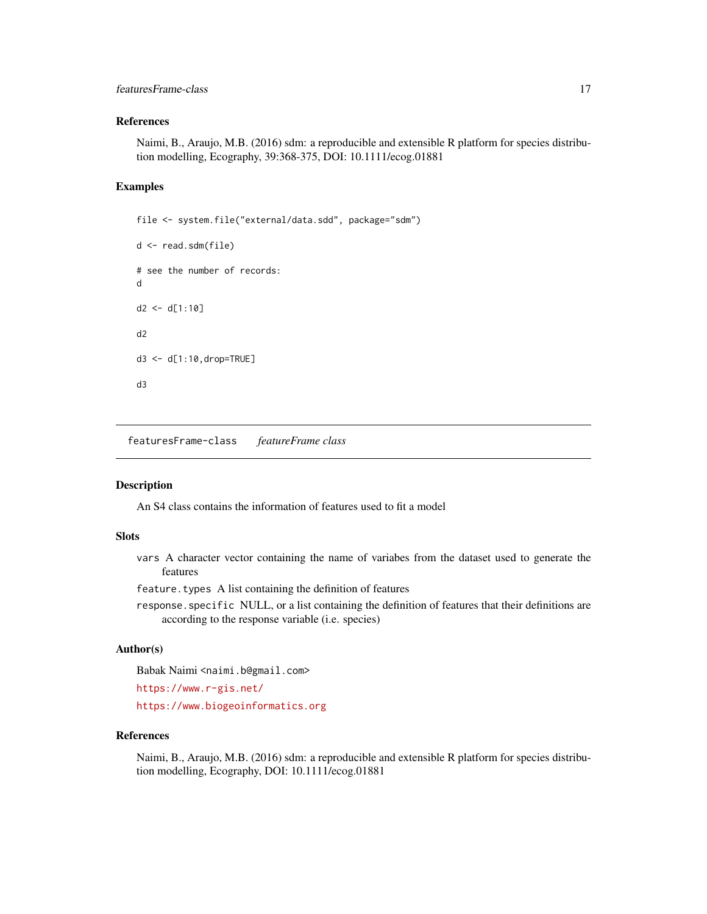## <span id="page-16-0"></span>featuresFrame-class 17

## References

Naimi, B., Araujo, M.B. (2016) sdm: a reproducible and extensible R platform for species distribution modelling, Ecography, 39:368-375, DOI: 10.1111/ecog.01881

## Examples

```
file <- system.file("external/data.sdd", package="sdm")
d <- read.sdm(file)
# see the number of records:
d
d2 < -d[1:10]d2
d3 <- d[1:10,drop=TRUE]
d3
```
featuresFrame-class *featureFrame class*

#### Description

An S4 class contains the information of features used to fit a model

#### Slots

vars A character vector containing the name of variabes from the dataset used to generate the features

feature.types A list containing the definition of features

response.specific NULL, or a list containing the definition of features that their definitions are according to the response variable (i.e. species)

#### Author(s)

Babak Naimi <naimi.b@gmail.com>

<https://www.r-gis.net/>

<https://www.biogeoinformatics.org>

## References

Naimi, B., Araujo, M.B. (2016) sdm: a reproducible and extensible R platform for species distribution modelling, Ecography, DOI: 10.1111/ecog.01881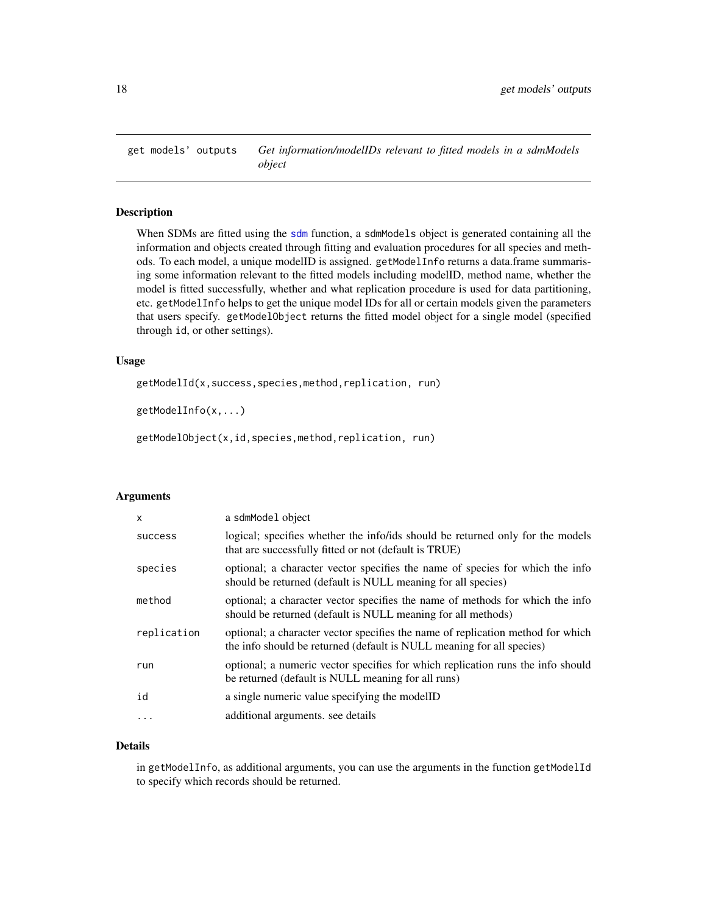<span id="page-17-0"></span>

#### Description

When SDMs are fitted using the [sdm](#page-32-1) function, a sdmModels object is generated containing all the information and objects created through fitting and evaluation procedures for all species and methods. To each model, a unique modelID is assigned. getModelInfo returns a data.frame summarising some information relevant to the fitted models including modelID, method name, whether the model is fitted successfully, whether and what replication procedure is used for data partitioning, etc. getModelInfo helps to get the unique model IDs for all or certain models given the parameters that users specify. getModelObject returns the fitted model object for a single model (specified through id, or other settings).

#### Usage

getModelId(x,success,species,method,replication, run)

getModelInfo(x,...)

getModelObject(x,id,species,method,replication, run)

## Arguments

| $\mathsf{x}$   | a sdmModel object                                                                                                                                        |
|----------------|----------------------------------------------------------------------------------------------------------------------------------------------------------|
| <b>SUCCESS</b> | logical; specifies whether the info/ids should be returned only for the models<br>that are successfully fitted or not (default is TRUE)                  |
| species        | optional; a character vector specifies the name of species for which the info<br>should be returned (default is NULL meaning for all species)            |
| method         | optional; a character vector specifies the name of methods for which the info<br>should be returned (default is NULL meaning for all methods)            |
| replication    | optional; a character vector specifies the name of replication method for which<br>the info should be returned (default is NULL meaning for all species) |
| run            | optional; a numeric vector specifies for which replication runs the info should<br>be returned (default is NULL meaning for all runs)                    |
| id             | a single numeric value specifying the modelID                                                                                                            |
|                | additional arguments, see details                                                                                                                        |

#### Details

in getModelInfo, as additional arguments, you can use the arguments in the function getModelId to specify which records should be returned.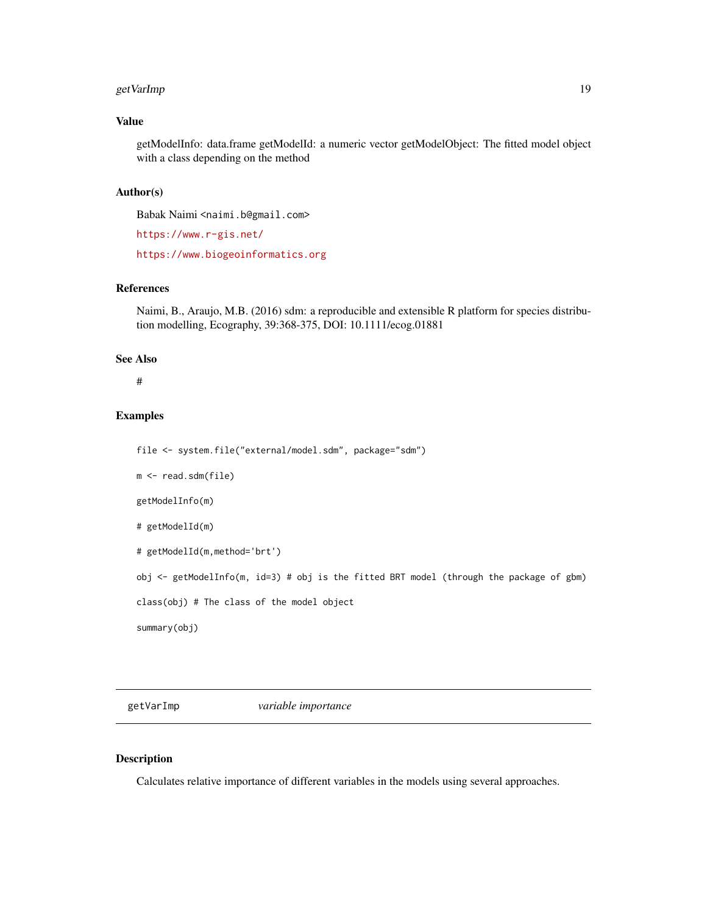## <span id="page-18-0"></span>getVarImp 19

## Value

getModelInfo: data.frame getModelId: a numeric vector getModelObject: The fitted model object with a class depending on the method

#### Author(s)

Babak Naimi <naimi.b@gmail.com>

<https://www.r-gis.net/>

<https://www.biogeoinformatics.org>

## References

Naimi, B., Araujo, M.B. (2016) sdm: a reproducible and extensible R platform for species distribution modelling, Ecography, 39:368-375, DOI: 10.1111/ecog.01881

#### See Also

#

## Examples

```
file <- system.file("external/model.sdm", package="sdm")
m <- read.sdm(file)
getModelInfo(m)
# getModelId(m)
# getModelId(m,method='brt')
obj <- getModelInfo(m, id=3) # obj is the fitted BRT model (through the package of gbm)
class(obj) # The class of the model object
summary(obj)
```
getVarImp *variable importance*

## Description

Calculates relative importance of different variables in the models using several approaches.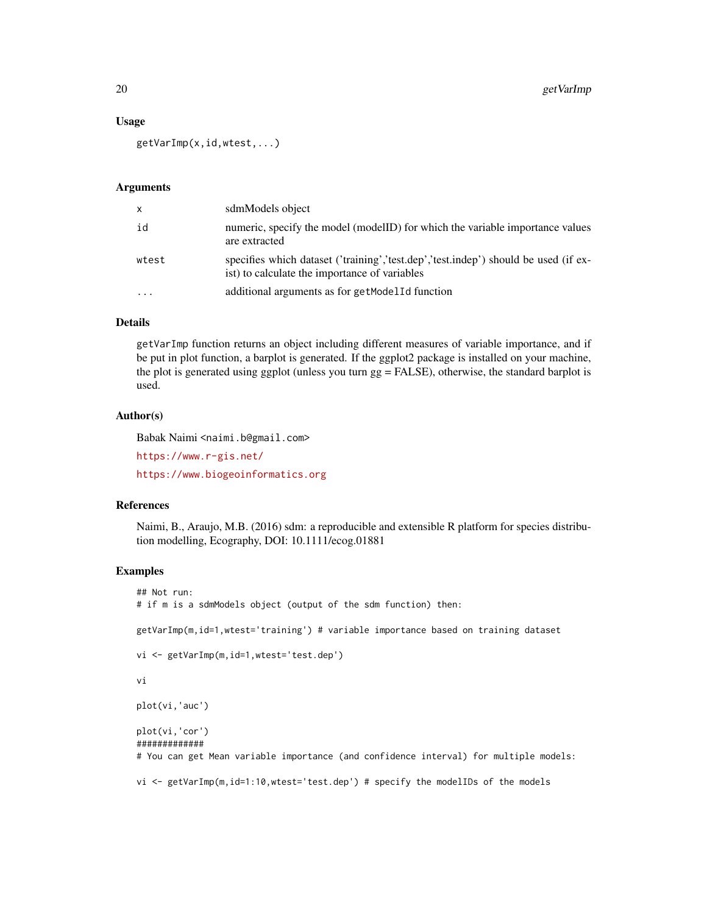#### Usage

getVarImp(x,id,wtest,...)

#### Arguments

| $\mathsf{x}$ | sdmModels object                                                                                                                     |
|--------------|--------------------------------------------------------------------------------------------------------------------------------------|
| id           | numeric, specify the model (modelID) for which the variable importance values<br>are extracted                                       |
| wtest        | specifies which dataset ('training','test.dep','test.indep') should be used (if ex-<br>ist) to calculate the importance of variables |
| $\ddotsc$    | additional arguments as for getModelId function                                                                                      |

## Details

getVarImp function returns an object including different measures of variable importance, and if be put in plot function, a barplot is generated. If the ggplot2 package is installed on your machine, the plot is generated using ggplot (unless you turn gg = FALSE), otherwise, the standard barplot is used.

## Author(s)

Babak Naimi <naimi.b@gmail.com>

<https://www.r-gis.net/>

<https://www.biogeoinformatics.org>

#### References

Naimi, B., Araujo, M.B. (2016) sdm: a reproducible and extensible R platform for species distribution modelling, Ecography, DOI: 10.1111/ecog.01881

## Examples

```
## Not run:
# if m is a sdmModels object (output of the sdm function) then:
getVarImp(m,id=1,wtest='training') # variable importance based on training dataset
vi <- getVarImp(m,id=1,wtest='test.dep')
vi
plot(vi,'auc')
plot(vi,'cor')
#############
# You can get Mean variable importance (and confidence interval) for multiple models:
```
vi <- getVarImp(m,id=1:10,wtest='test.dep') # specify the modelIDs of the models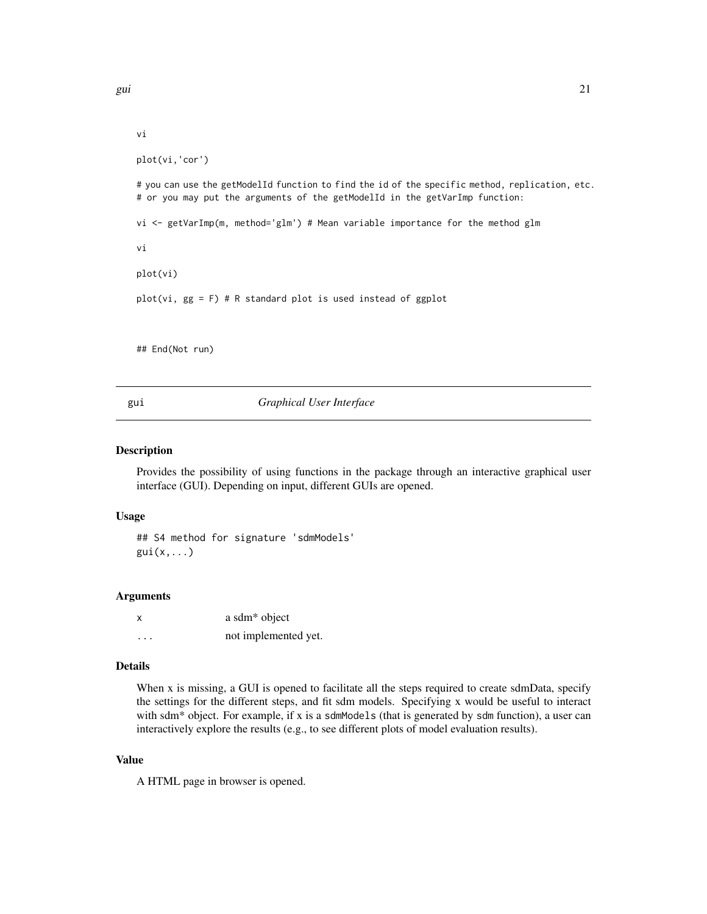```
vi
plot(vi,'cor')
# you can use the getModelId function to find the id of the specific method, replication, etc.
# or you may put the arguments of the getModelId in the getVarImp function:
vi <- getVarImp(m, method='glm') # Mean variable importance for the method glm
vi
plot(vi)
plot(vi, gg = F) # R standard plot is used instead of ggplot
## End(Not run)
```
gui *Graphical User Interface*

## Description

Provides the possibility of using functions in the package through an interactive graphical user interface (GUI). Depending on input, different GUIs are opened.

#### Usage

## S4 method for signature 'sdmModels'  $gui(x,...)$ 

#### Arguments

| x        | a sdm <sup>*</sup> object |
|----------|---------------------------|
| $\cdots$ | not implemented yet.      |

## Details

When x is missing, a GUI is opened to facilitate all the steps required to create sdmData, specify the settings for the different steps, and fit sdm models. Specifying x would be useful to interact with sdm $*$  object. For example, if x is a sdmModels (that is generated by sdm function), a user can interactively explore the results (e.g., to see different plots of model evaluation results).

## Value

A HTML page in browser is opened.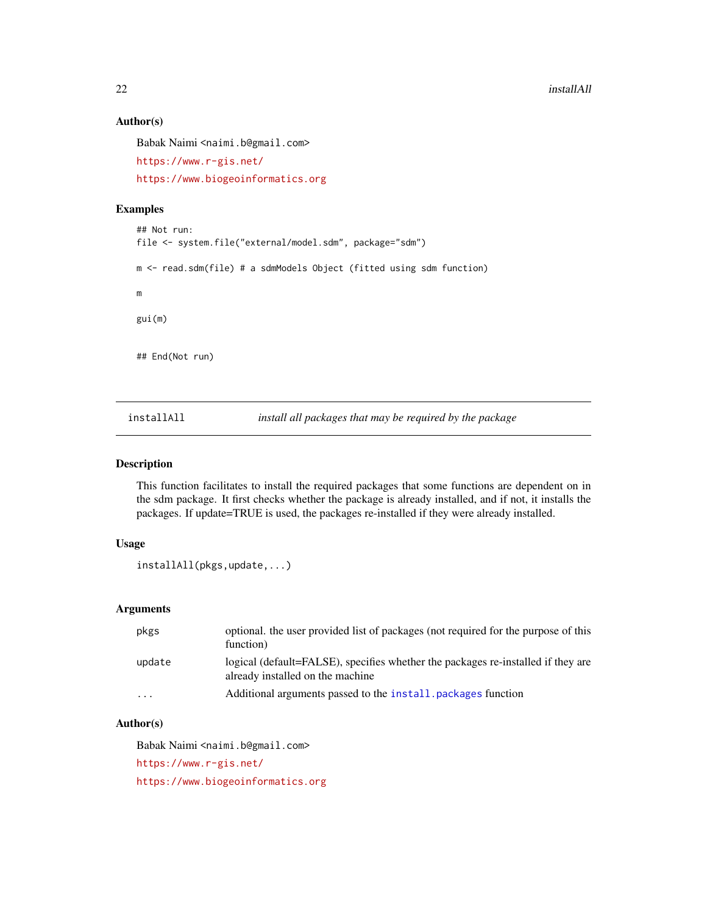## Author(s)

Babak Naimi <naimi.b@gmail.com>

```
https://www.r-gis.net/
```
<https://www.biogeoinformatics.org>

## Examples

```
## Not run:
file <- system.file("external/model.sdm", package="sdm")
m <- read.sdm(file) # a sdmModels Object (fitted using sdm function)
m
gui(m)
## End(Not run)
```
<span id="page-21-1"></span>installAll *install all packages that may be required by the package*

## Description

This function facilitates to install the required packages that some functions are dependent on in the sdm package. It first checks whether the package is already installed, and if not, it installs the packages. If update=TRUE is used, the packages re-installed if they were already installed.

## Usage

```
installAll(pkgs,update,...)
```
## Arguments

| pkgs                 | optional, the user provided list of packages (not required for the purpose of this<br>function)                      |
|----------------------|----------------------------------------------------------------------------------------------------------------------|
| update               | logical (default=FALSE), specifies whether the packages re-installed if they are<br>already installed on the machine |
| $\ddot{\phantom{0}}$ | Additional arguments passed to the install, packages function                                                        |

## Author(s)

Babak Naimi <naimi.b@gmail.com>

<https://www.r-gis.net/>

<https://www.biogeoinformatics.org>

<span id="page-21-0"></span>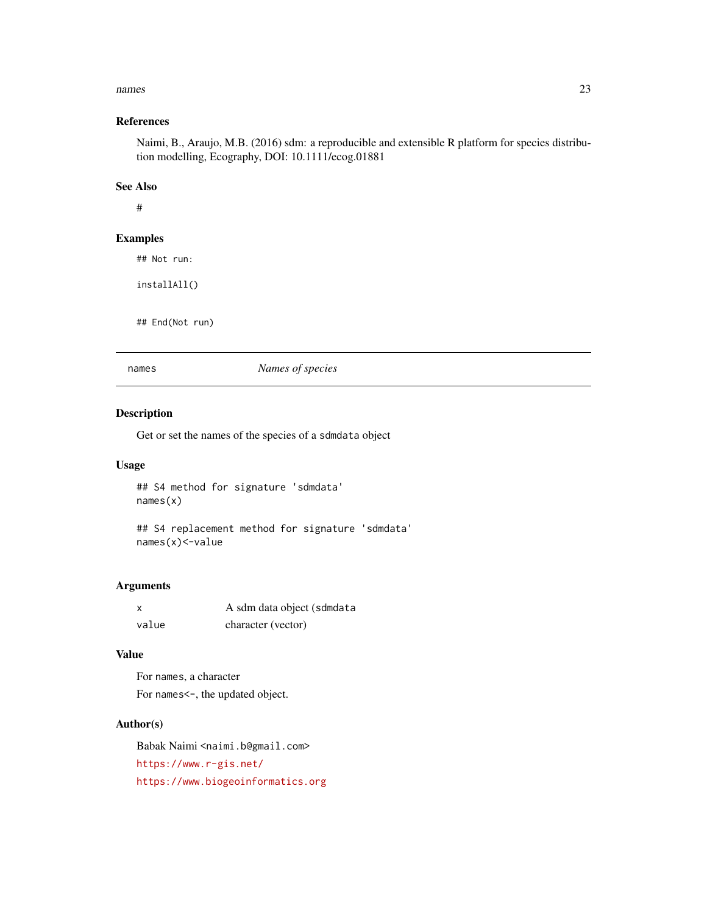#### <span id="page-22-0"></span>names 23

## References

Naimi, B., Araujo, M.B. (2016) sdm: a reproducible and extensible R platform for species distribution modelling, Ecography, DOI: 10.1111/ecog.01881

## See Also

#

#### Examples

## Not run:

installAll()

## End(Not run)

names *Names of species*

## Description

Get or set the names of the species of a sdmdata object

#### Usage

## S4 method for signature 'sdmdata' names(x)

## S4 replacement method for signature 'sdmdata' names(x)<-value

## Arguments

|       | A sdm data object (sdmdata |
|-------|----------------------------|
| value | character (vector)         |

## Value

For names, a character For names <-, the updated object.

## Author(s)

Babak Naimi <naimi.b@gmail.com> <https://www.r-gis.net/> <https://www.biogeoinformatics.org>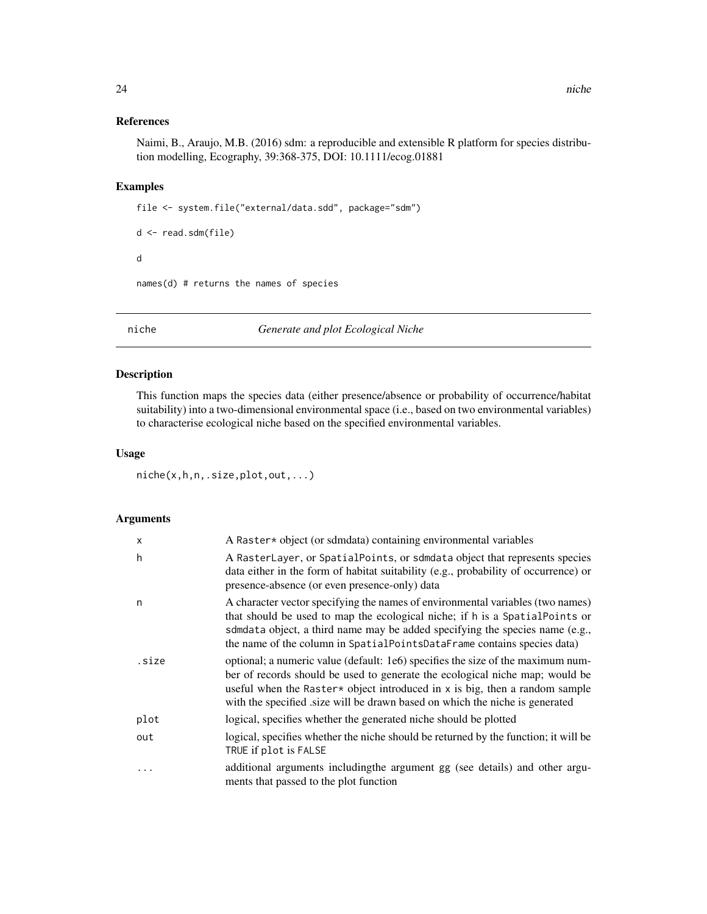## <span id="page-23-0"></span>References

Naimi, B., Araujo, M.B. (2016) sdm: a reproducible and extensible R platform for species distribution modelling, Ecography, 39:368-375, DOI: 10.1111/ecog.01881

#### Examples

```
file <- system.file("external/data.sdd", package="sdm")
```

```
d <- read.sdm(file)
d
names(d) # returns the names of species
```
niche *Generate and plot Ecological Niche*

## Description

This function maps the species data (either presence/absence or probability of occurrence/habitat suitability) into a two-dimensional environmental space (i.e., based on two environmental variables) to characterise ecological niche based on the specified environmental variables.

#### Usage

niche(x,h,n,.size,plot,out,...)

## Arguments

| X     | A Raster* object (or sdmdata) containing environmental variables                                                                                                                                                                                                                                                                     |
|-------|--------------------------------------------------------------------------------------------------------------------------------------------------------------------------------------------------------------------------------------------------------------------------------------------------------------------------------------|
| h     | A RasterLayer, or SpatialPoints, or sdmdata object that represents species<br>data either in the form of habitat suitability (e.g., probability of occurrence) or<br>presence-absence (or even presence-only) data                                                                                                                   |
| n     | A character vector specifying the names of environmental variables (two names)<br>that should be used to map the ecological niche; if h is a SpatialPoints or<br>sdmdata object, a third name may be added specifying the species name (e.g.,<br>the name of the column in SpatialPointsDataFrame contains species data)             |
| .size | optional; a numeric value (default: 1e6) specifies the size of the maximum num-<br>ber of records should be used to generate the ecological niche map; would be<br>useful when the Raster $\star$ object introduced in x is big, then a random sample<br>with the specified size will be drawn based on which the niche is generated |
| plot  | logical, specifies whether the generated niche should be plotted                                                                                                                                                                                                                                                                     |
| out   | logical, specifies whether the niche should be returned by the function; it will be<br>TRUE if plot is FALSE                                                                                                                                                                                                                         |
| .     | additional arguments including the argument gg (see details) and other argu-<br>ments that passed to the plot function                                                                                                                                                                                                               |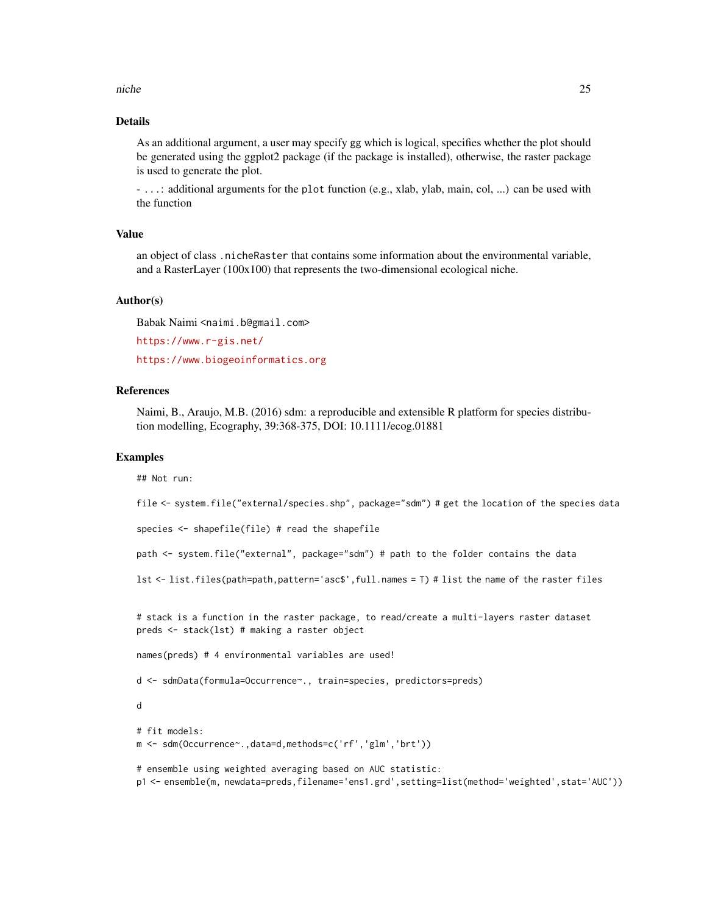#### niche 25

## Details

As an additional argument, a user may specify gg which is logical, specifies whether the plot should be generated using the ggplot2 package (if the package is installed), otherwise, the raster package is used to generate the plot.

- ...: additional arguments for the plot function (e.g., xlab, ylab, main, col, ...) can be used with the function

#### Value

an object of class .nicheRaster that contains some information about the environmental variable, and a RasterLayer (100x100) that represents the two-dimensional ecological niche.

#### Author(s)

Babak Naimi <naimi.b@gmail.com>

<https://www.r-gis.net/>

<https://www.biogeoinformatics.org>

#### References

Naimi, B., Araujo, M.B. (2016) sdm: a reproducible and extensible R platform for species distribution modelling, Ecography, 39:368-375, DOI: 10.1111/ecog.01881

#### Examples

## Not run:

file <- system.file("external/species.shp", package="sdm") # get the location of the species data

species <- shapefile(file) # read the shapefile

path <- system.file("external", package="sdm") # path to the folder contains the data

lst <- list.files(path=path,pattern='asc\$',full.names = T) # list the name of the raster files

# stack is a function in the raster package, to read/create a multi-layers raster dataset preds <- stack(lst) # making a raster object

names(preds) # 4 environmental variables are used!

d <- sdmData(formula=Occurrence~., train=species, predictors=preds)

d

```
# fit models:
m <- sdm(Occurrence~.,data=d,methods=c('rf','glm','brt'))
```
# ensemble using weighted averaging based on AUC statistic: p1 <- ensemble(m, newdata=preds,filename='ens1.grd',setting=list(method='weighted',stat='AUC'))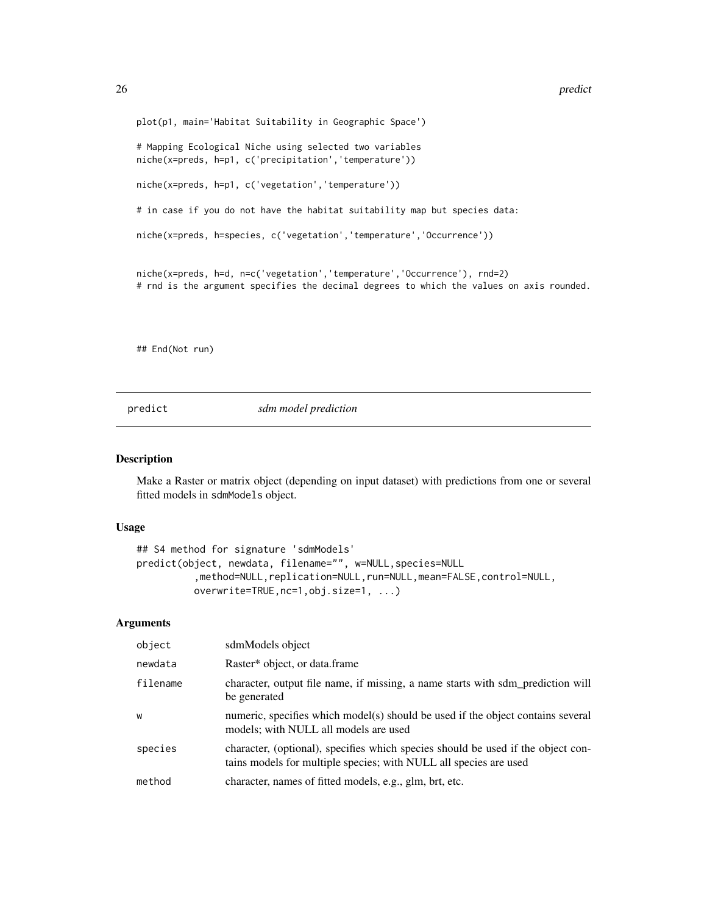<span id="page-25-0"></span>plot(p1, main='Habitat Suitability in Geographic Space') # Mapping Ecological Niche using selected two variables niche(x=preds, h=p1, c('precipitation','temperature')) niche(x=preds, h=p1, c('vegetation','temperature')) # in case if you do not have the habitat suitability map but species data: niche(x=preds, h=species, c('vegetation','temperature','Occurrence')) niche(x=preds, h=d, n=c('vegetation','temperature','Occurrence'), rnd=2) # rnd is the argument specifies the decimal degrees to which the values on axis rounded.

## End(Not run)

predict *sdm model prediction*

#### Description

Make a Raster or matrix object (depending on input dataset) with predictions from one or several fitted models in sdmModels object.

#### Usage

```
## S4 method for signature 'sdmModels'
predict(object, newdata, filename="", w=NULL,species=NULL
          ,method=NULL,replication=NULL,run=NULL,mean=FALSE,control=NULL,
         overwrite=TRUE,nc=1,obj.size=1, ...)
```
## Arguments

| object   | sdmModels object                                                                                                                                      |
|----------|-------------------------------------------------------------------------------------------------------------------------------------------------------|
| newdata  | Raster* object, or data.frame                                                                                                                         |
| filename | character, output file name, if missing, a name starts with sdm_prediction will<br>be generated                                                       |
| W        | numeric, specifies which model(s) should be used if the object contains several<br>models; with NULL all models are used                              |
| species  | character, (optional), specifies which species should be used if the object con-<br>tains models for multiple species; with NULL all species are used |
| method   | character, names of fitted models, e.g., glm, brt, etc.                                                                                               |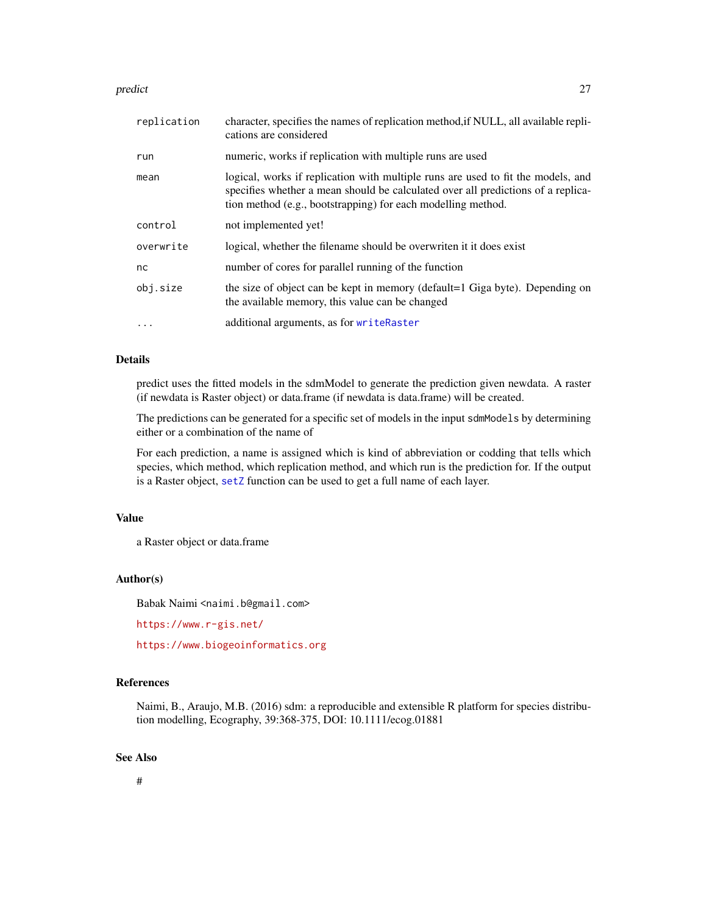#### <span id="page-26-0"></span>predict 27

| replication | character, specifies the names of replication method, if NULL, all available repli-<br>cations are considered                                                                                                                        |
|-------------|--------------------------------------------------------------------------------------------------------------------------------------------------------------------------------------------------------------------------------------|
| run         | numeric, works if replication with multiple runs are used                                                                                                                                                                            |
| mean        | logical, works if replication with multiple runs are used to fit the models, and<br>specifies whether a mean should be calculated over all predictions of a replica-<br>tion method (e.g., bootstrapping) for each modelling method. |
| control     | not implemented yet!                                                                                                                                                                                                                 |
| overwrite   | logical, whether the filename should be overwriten it it does exist                                                                                                                                                                  |
| nc          | number of cores for parallel running of the function                                                                                                                                                                                 |
| obj.size    | the size of object can be kept in memory (default=1 Giga byte). Depending on<br>the available memory, this value can be changed                                                                                                      |
| $\cdots$    | additional arguments, as for writeRaster                                                                                                                                                                                             |

#### Details

predict uses the fitted models in the sdmModel to generate the prediction given newdata. A raster (if newdata is Raster object) or data.frame (if newdata is data.frame) will be created.

The predictions can be generated for a specific set of models in the input sdmModels by determining either or a combination of the name of

For each prediction, a name is assigned which is kind of abbreviation or codding that tells which species, which method, which replication method, and which run is the prediction for. If the output is a Raster object, [setZ](#page-0-0) function can be used to get a full name of each layer.

## Value

a Raster object or data.frame

## Author(s)

Babak Naimi <naimi.b@gmail.com>

<https://www.r-gis.net/>

<https://www.biogeoinformatics.org>

#### References

Naimi, B., Araujo, M.B. (2016) sdm: a reproducible and extensible R platform for species distribution modelling, Ecography, 39:368-375, DOI: 10.1111/ecog.01881

## See Also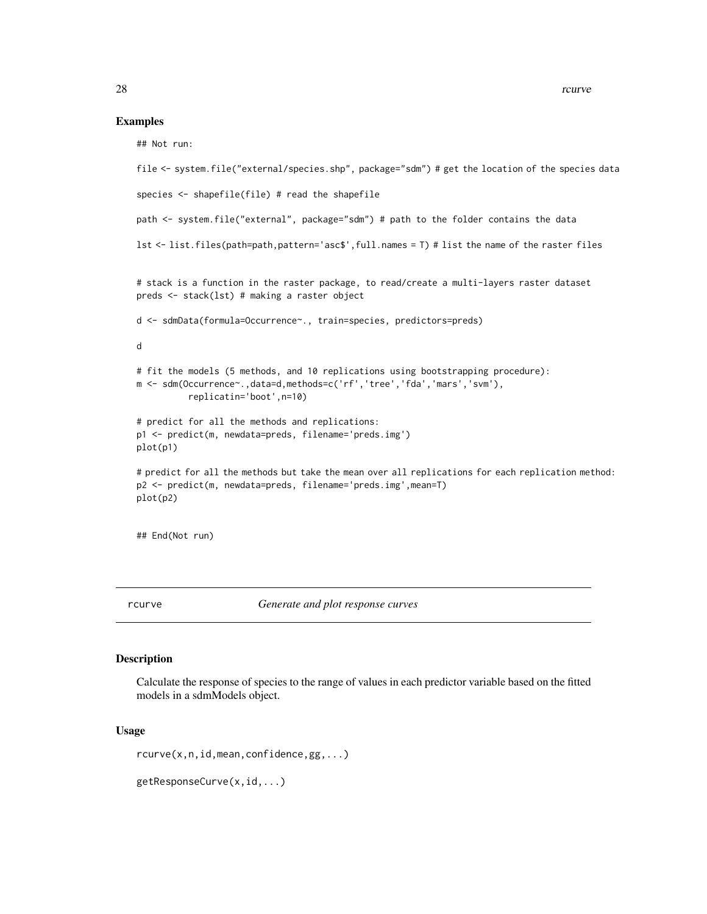#### Examples

## Not run:

```
file <- system.file("external/species.shp", package="sdm") # get the location of the species data
species <- shapefile(file) # read the shapefile
path <- system.file("external", package="sdm") # path to the folder contains the data
lst <- list.files(path=path,pattern='asc$',full.names = T) # list the name of the raster files
# stack is a function in the raster package, to read/create a multi-layers raster dataset
preds <- stack(lst) # making a raster object
d <- sdmData(formula=Occurrence~., train=species, predictors=preds)
d
# fit the models (5 methods, and 10 replications using bootstrapping procedure):
m <- sdm(Occurrence~.,data=d,methods=c('rf','tree','fda','mars','svm'),
          replicatin='boot',n=10)
# predict for all the methods and replications:
p1 <- predict(m, newdata=preds, filename='preds.img')
plot(p1)
# predict for all the methods but take the mean over all replications for each replication method:
p2 <- predict(m, newdata=preds, filename='preds.img',mean=T)
plot(p2)
```
## End(Not run)

rcurve *Generate and plot response curves*

#### Description

Calculate the response of species to the range of values in each predictor variable based on the fitted models in a sdmModels object.

#### Usage

rcurve(x,n,id,mean,confidence,gg,...)

getResponseCurve(x,id,...)

<span id="page-27-0"></span>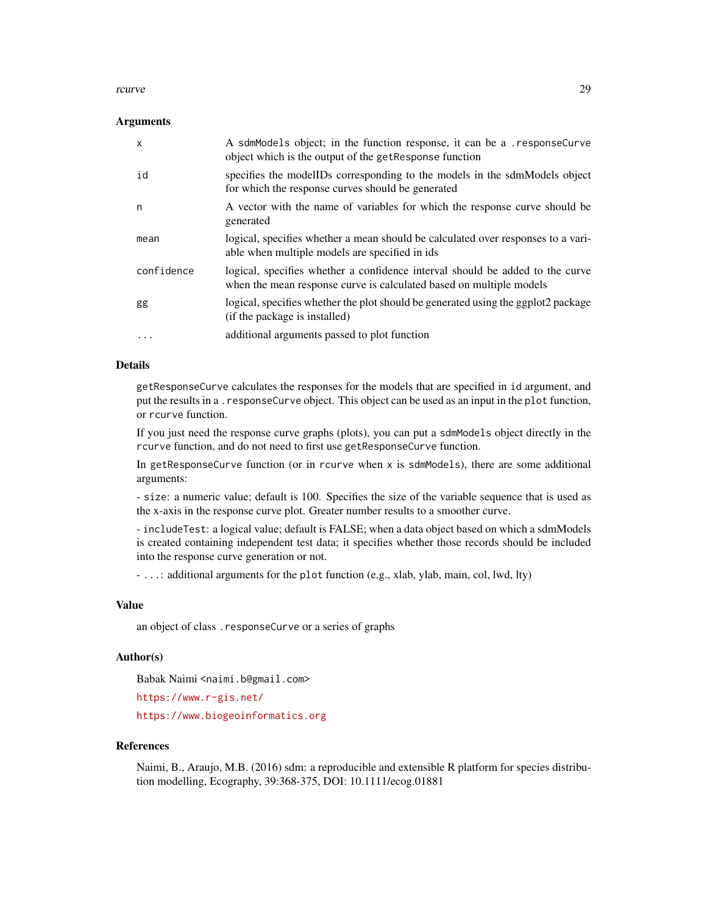#### rcurve 29

## Arguments

| X          | A sdmModels object; in the function response, it can be a .responseCurve<br>object which is the output of the get Response function                  |
|------------|------------------------------------------------------------------------------------------------------------------------------------------------------|
| id         | specifies the modelIDs corresponding to the models in the sdmModels object<br>for which the response curves should be generated                      |
| n          | A vector with the name of variables for which the response curve should be<br>generated                                                              |
| mean       | logical, specifies whether a mean should be calculated over responses to a vari-<br>able when multiple models are specified in ids.                  |
| confidence | logical, specifies whether a confidence interval should be added to the curve<br>when the mean response curve is calculated based on multiple models |
| gg         | logical, specifies whether the plot should be generated using the ggplot2 package<br>(if the package is installed)                                   |
| .          | additional arguments passed to plot function                                                                                                         |

## Details

getResponseCurve calculates the responses for the models that are specified in id argument, and put the results in a . responseCurve object. This object can be used as an input in the plot function, or rcurve function.

If you just need the response curve graphs (plots), you can put a sdmModels object directly in the rcurve function, and do not need to first use getResponseCurve function.

In getResponseCurve function (or in rcurve when  $x$  is sdmModels), there are some additional arguments:

- size: a numeric value; default is 100. Specifies the size of the variable sequence that is used as the x-axis in the response curve plot. Greater number results to a smoother curve.

- includeTest: a logical value; default is FALSE; when a data object based on which a sdmModels is created containing independent test data; it specifies whether those records should be included into the response curve generation or not.

- ...: additional arguments for the plot function (e.g., xlab, ylab, main, col, lwd, lty)

#### Value

an object of class .responseCurve or a series of graphs

#### Author(s)

Babak Naimi <naimi.b@gmail.com>

<https://www.r-gis.net/>

<https://www.biogeoinformatics.org>

#### References

Naimi, B., Araujo, M.B. (2016) sdm: a reproducible and extensible R platform for species distribution modelling, Ecography, 39:368-375, DOI: 10.1111/ecog.01881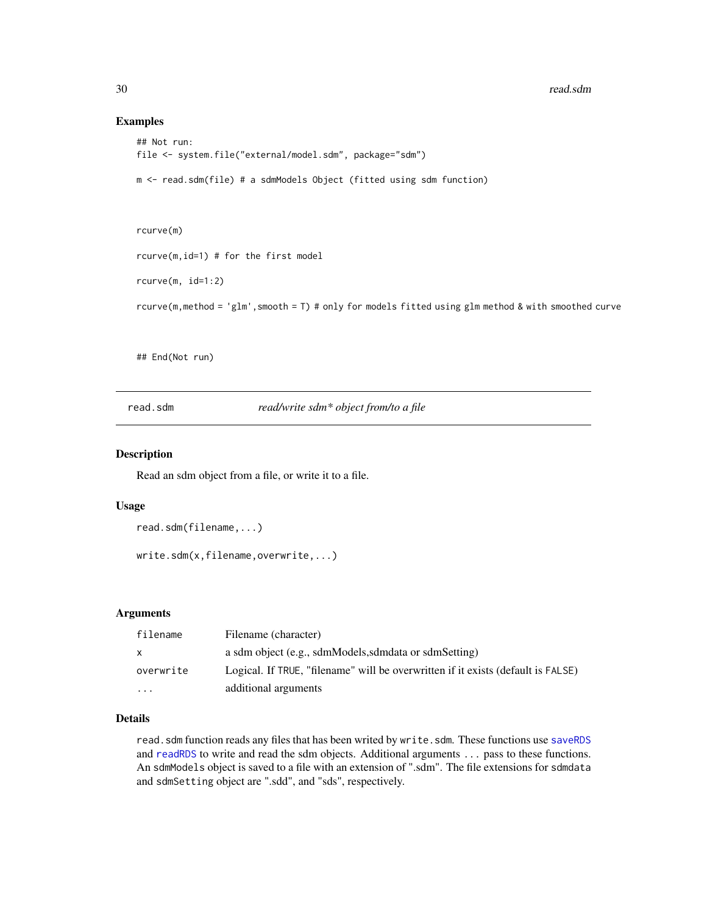#### Examples

```
## Not run:
file <- system.file("external/model.sdm", package="sdm")
m <- read.sdm(file) # a sdmModels Object (fitted using sdm function)
rcurve(m)
rcurve(m,id=1) # for the first model
rcurve(m, id=1:2)
```
rcurve(m,method = 'glm',smooth = T) # only for models fitted using glm method & with smoothed curve

## End(Not run)

read.sdm *read/write sdm\* object from/to a file*

#### Description

Read an sdm object from a file, or write it to a file.

#### Usage

```
read.sdm(filename,...)
```
write.sdm(x,filename,overwrite,...)

#### Arguments

| filename     | Filename (character)                                                             |
|--------------|----------------------------------------------------------------------------------|
| $\mathsf{x}$ | a sdm object (e.g., sdmModels, sdmdata or sdmSetting)                            |
| overwrite    | Logical. If TRUE, "filename" will be overwritten if it exists (default is FALSE) |
| $\cdots$     | additional arguments                                                             |

## Details

read.sdm function reads any files that has been writed by write.sdm. These functions use [saveRDS](#page-0-0) and [readRDS](#page-0-0) to write and read the sdm objects. Additional arguments ... pass to these functions. An sdmModels object is saved to a file with an extension of ".sdm". The file extensions for sdmdata and sdmSetting object are ".sdd", and "sds", respectively.

<span id="page-29-0"></span>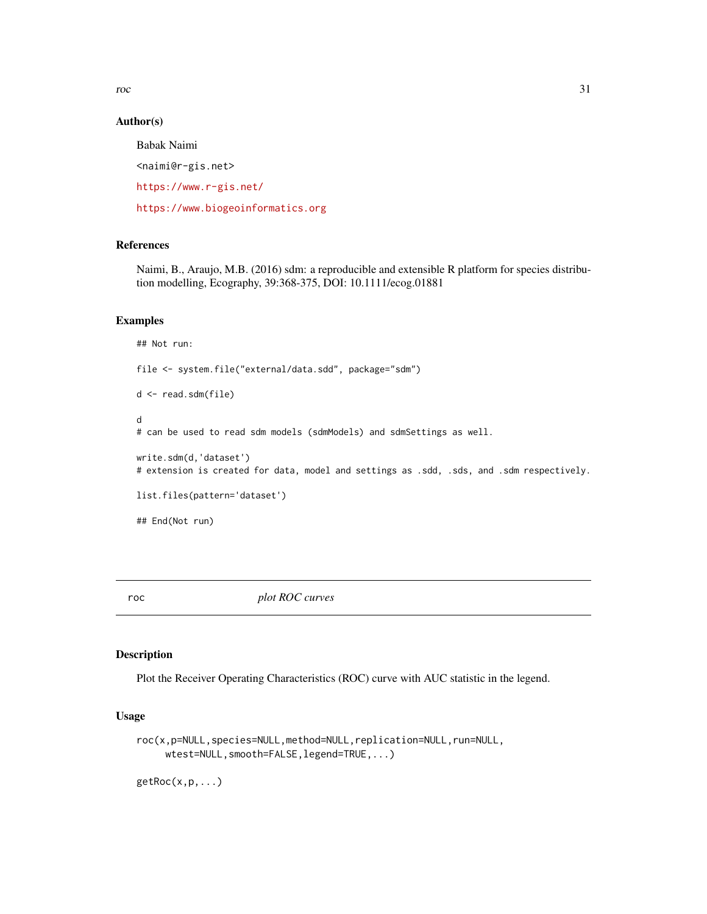<span id="page-30-0"></span>roc 31

## Author(s)

Babak Naimi <naimi@r-gis.net> <https://www.r-gis.net/> <https://www.biogeoinformatics.org>

## References

Naimi, B., Araujo, M.B. (2016) sdm: a reproducible and extensible R platform for species distribution modelling, Ecography, 39:368-375, DOI: 10.1111/ecog.01881

#### Examples

## Not run: file <- system.file("external/data.sdd", package="sdm") d <- read.sdm(file) d # can be used to read sdm models (sdmModels) and sdmSettings as well. write.sdm(d,'dataset') # extension is created for data, model and settings as .sdd, .sds, and .sdm respectively. list.files(pattern='dataset') ## End(Not run)

roc *plot ROC curves*

## Description

Plot the Receiver Operating Characteristics (ROC) curve with AUC statistic in the legend.

## Usage

```
roc(x,p=NULL,species=NULL,method=NULL,replication=NULL,run=NULL,
     wtest=NULL,smooth=FALSE,legend=TRUE,...)
```
 $getRoc(x,p,...)$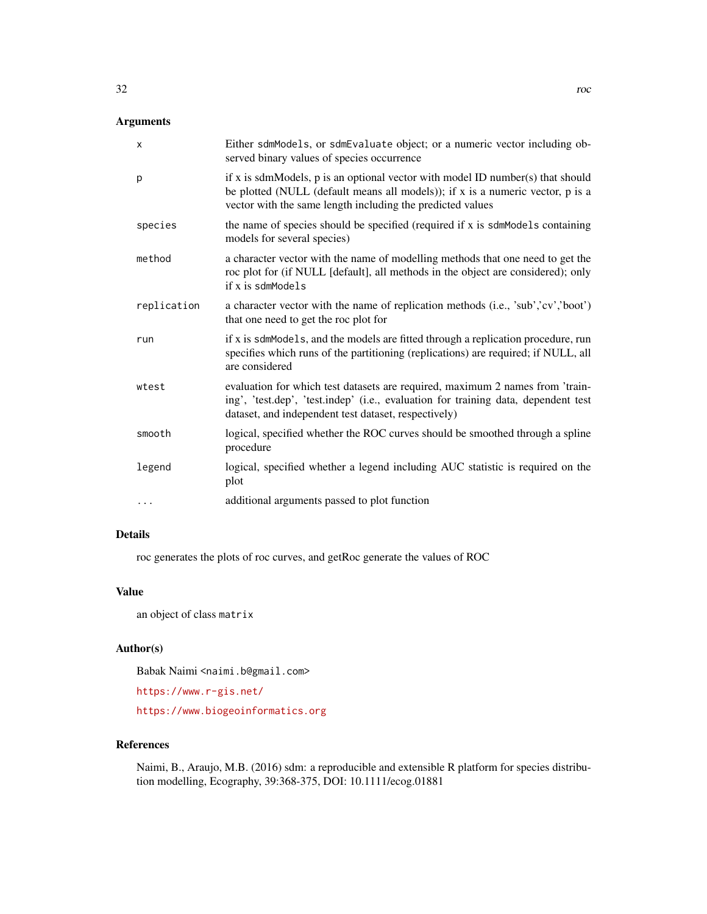## Arguments

| X           | Either sdmModels, or sdmEvaluate object; or a numeric vector including ob-<br>served binary values of species occurrence                                                                                                         |
|-------------|----------------------------------------------------------------------------------------------------------------------------------------------------------------------------------------------------------------------------------|
| p           | if x is sdmModels, $p$ is an optional vector with model ID number(s) that should<br>be plotted (NULL (default means all models)); if x is a numeric vector, p is a<br>vector with the same length including the predicted values |
| species     | the name of species should be specified (required if x is sdmModels containing<br>models for several species)                                                                                                                    |
| method      | a character vector with the name of modelling methods that one need to get the<br>roc plot for (if NULL [default], all methods in the object are considered); only<br>if x is sdmModels                                          |
| replication | a character vector with the name of replication methods (i.e., 'sub','cv','boot')<br>that one need to get the roc plot for                                                                                                       |
| run         | if x is sdmModels, and the models are fitted through a replication procedure, run<br>specifies which runs of the partitioning (replications) are required; if NULL, all<br>are considered                                        |
| wtest       | evaluation for which test datasets are required, maximum 2 names from 'train-<br>ing', 'test.dep', 'test.indep' (i.e., evaluation for training data, dependent test<br>dataset, and independent test dataset, respectively)      |
| smooth      | logical, specified whether the ROC curves should be smoothed through a spline<br>procedure                                                                                                                                       |
| legend      | logical, specified whether a legend including AUC statistic is required on the<br>plot                                                                                                                                           |
| .           | additional arguments passed to plot function                                                                                                                                                                                     |

## Details

roc generates the plots of roc curves, and getRoc generate the values of ROC

## Value

an object of class matrix

## Author(s)

Babak Naimi <naimi.b@gmail.com>

<https://www.r-gis.net/>

<https://www.biogeoinformatics.org>

## References

Naimi, B., Araujo, M.B. (2016) sdm: a reproducible and extensible R platform for species distribution modelling, Ecography, 39:368-375, DOI: 10.1111/ecog.01881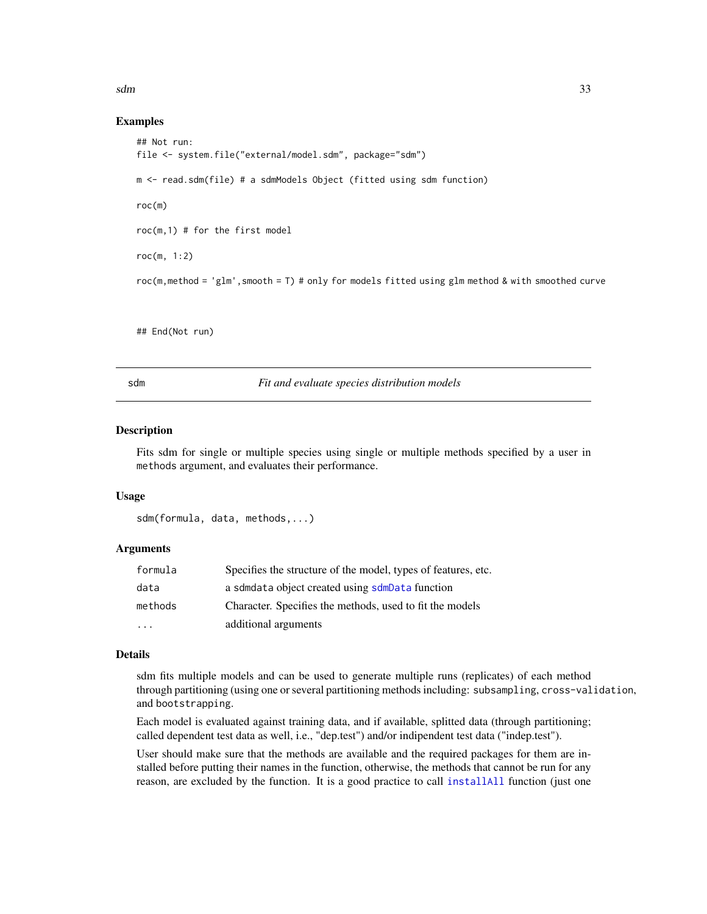<span id="page-32-0"></span> $sdm$  33

## Examples

```
## Not run:
file <- system.file("external/model.sdm", package="sdm")
m <- read.sdm(file) # a sdmModels Object (fitted using sdm function)
roc(m)
roc(m,1) # for the first model
roc(m, 1:2)
roc(m,method = 'glm',smooth = T) # only for models fitted using glm method & with smoothed curve
```
## End(Not run)

<span id="page-32-1"></span>

sdm *Fit and evaluate species distribution models*

#### Description

Fits sdm for single or multiple species using single or multiple methods specified by a user in methods argument, and evaluates their performance.

## Usage

sdm(formula, data, methods,...)

#### Arguments

| formula   | Specifies the structure of the model, types of features, etc. |
|-----------|---------------------------------------------------------------|
| data      | a sdmdata object created using sdmData function               |
| methods   | Character. Specifies the methods, used to fit the models      |
| $\ddotsc$ | additional arguments                                          |

#### Details

sdm fits multiple models and can be used to generate multiple runs (replicates) of each method through partitioning (using one or several partitioning methods including: subsampling, cross-validation, and bootstrapping.

Each model is evaluated against training data, and if available, splitted data (through partitioning; called dependent test data as well, i.e., "dep.test") and/or indipendent test data ("indep.test").

User should make sure that the methods are available and the required packages for them are installed before putting their names in the function, otherwise, the methods that cannot be run for any reason, are excluded by the function. It is a good practice to call [installAll](#page-21-1) function (just one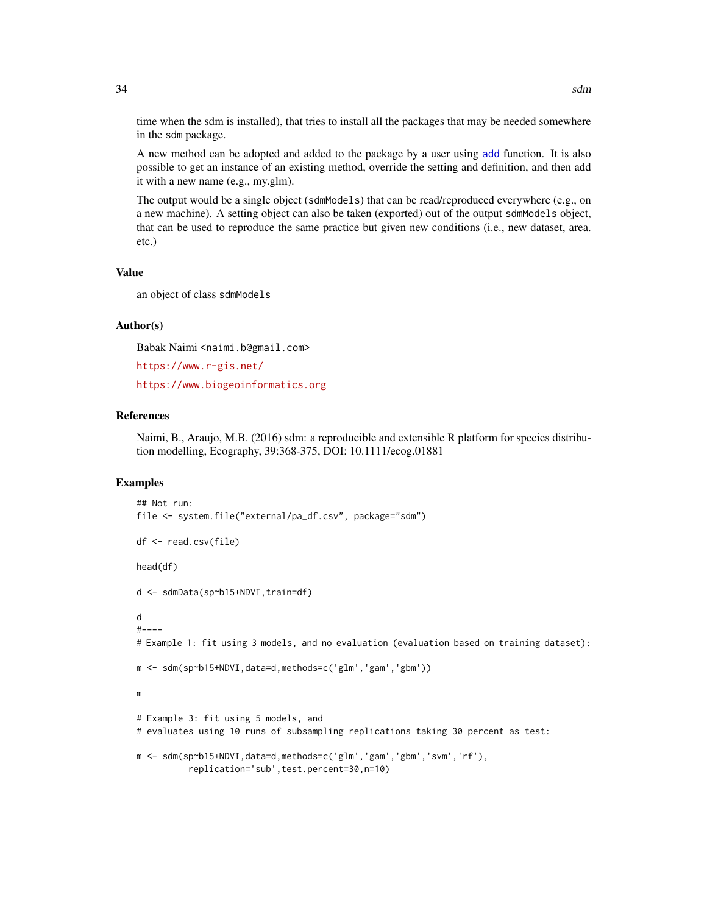time when the sdm is installed), that tries to install all the packages that may be needed somewhere in the sdm package.

A new method can be adopted and added to the package by a user using [add](#page-1-1) function. It is also possible to get an instance of an existing method, override the setting and definition, and then add it with a new name (e.g., my.glm).

The output would be a single object (sdmModels) that can be read/reproduced everywhere (e.g., on a new machine). A setting object can also be taken (exported) out of the output sdmModels object, that can be used to reproduce the same practice but given new conditions (i.e., new dataset, area. etc.)

## Value

an object of class sdmModels

#### Author(s)

Babak Naimi <naimi.b@gmail.com>

```
https://www.r-gis.net/
```
<https://www.biogeoinformatics.org>

## References

Naimi, B., Araujo, M.B. (2016) sdm: a reproducible and extensible R platform for species distribution modelling, Ecography, 39:368-375, DOI: 10.1111/ecog.01881

## Examples

```
## Not run:
file <- system.file("external/pa_df.csv", package="sdm")
df <- read.csv(file)
head(df)
d <- sdmData(sp~b15+NDVI,train=df)
d
#----
# Example 1: fit using 3 models, and no evaluation (evaluation based on training dataset):
m <- sdm(sp~b15+NDVI,data=d,methods=c('glm','gam','gbm'))
m
# Example 3: fit using 5 models, and
# evaluates using 10 runs of subsampling replications taking 30 percent as test:
m <- sdm(sp~b15+NDVI,data=d,methods=c('glm','gam','gbm','svm','rf'),
          replication='sub',test.percent=30,n=10)
```
<span id="page-33-0"></span>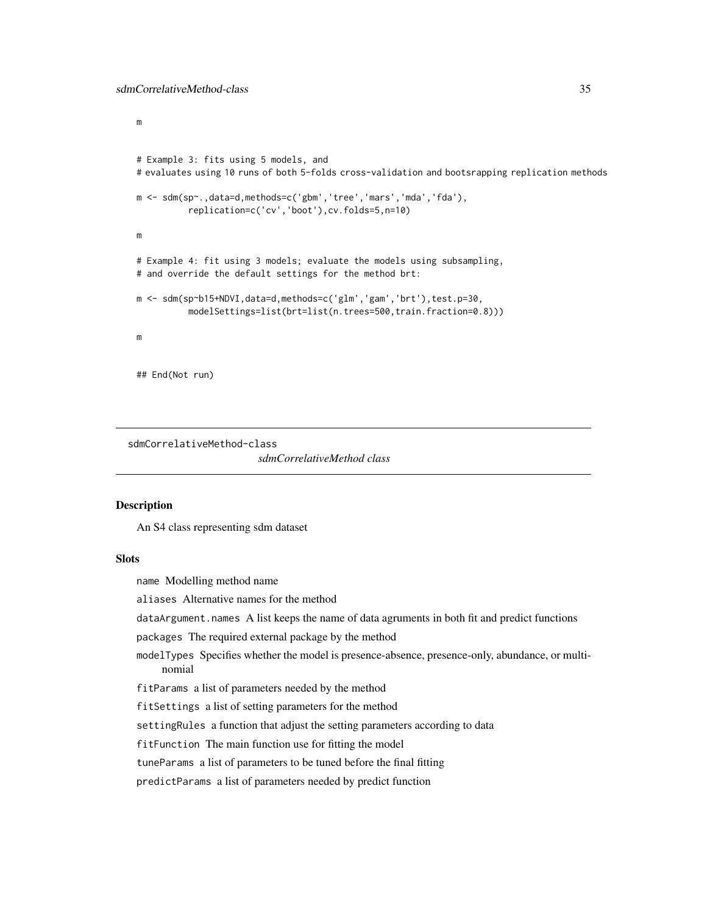<span id="page-34-0"></span>m

```
# Example 3: fits using 5 models, and
# evaluates using 10 runs of both 5-folds cross-validation and bootsrapping replication methods
m <- sdm(sp~.,data=d,methods=c('gbm','tree','mars','mda','fda'),
          replication=c('cv','boot'),cv.folds=5,n=10)
m
# Example 4: fit using 3 models; evaluate the models using subsampling,
# and override the default settings for the method brt:
m <- sdm(sp~b15+NDVI,data=d,methods=c('glm','gam','brt'),test.p=30,
          modelSettings=list(brt=list(n.trees=500,train.fraction=0.8)))
m
## End(Not run)
```
sdmCorrelativeMethod-class

*sdmCorrelativeMethod class*

## **Description**

An S4 class representing sdm dataset

## **Slots**

name Modelling method name

aliases Alternative names for the method

dataArgument.names A list keeps the name of data agruments in both fit and predict functions

packages The required external package by the method

modelTypes Specifies whether the model is presence-absence, presence-only, abundance, or multinomial

fitParams a list of parameters needed by the method

fitSettings a list of setting parameters for the method

settingRules a function that adjust the setting parameters according to data

fitFunction The main function use for fitting the model

tuneParams a list of parameters to be tuned before the final fitting

predictParams a list of parameters needed by predict function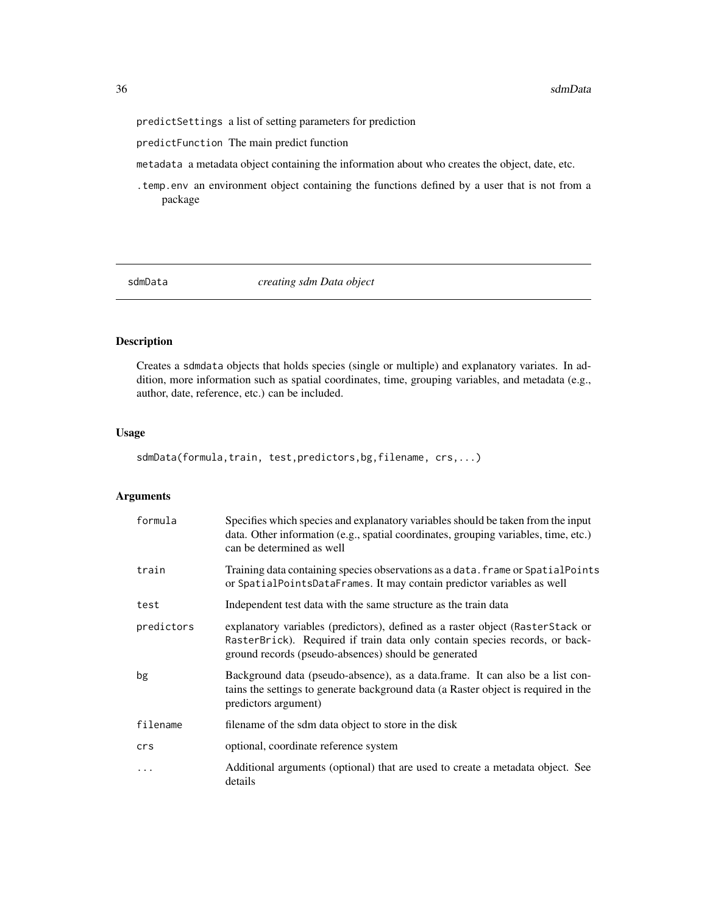<span id="page-35-0"></span>predictSettings a list of setting parameters for prediction

predictFunction The main predict function

metadata a metadata object containing the information about who creates the object, date, etc.

.temp.env an environment object containing the functions defined by a user that is not from a package

<span id="page-35-1"></span>sdmData *creating sdm Data object*

## Description

Creates a sdmdata objects that holds species (single or multiple) and explanatory variates. In addition, more information such as spatial coordinates, time, grouping variables, and metadata (e.g., author, date, reference, etc.) can be included.

## Usage

sdmData(formula,train, test,predictors,bg,filename, crs,...)

## Arguments

| formula    | Specifies which species and explanatory variables should be taken from the input<br>data. Other information (e.g., spatial coordinates, grouping variables, time, etc.)<br>can be determined as well                  |
|------------|-----------------------------------------------------------------------------------------------------------------------------------------------------------------------------------------------------------------------|
| train      | Training data containing species observations as a data. frame or SpatialPoints<br>or SpatialPointsDataFrames. It may contain predictor variables as well                                                             |
| test       | Independent test data with the same structure as the train data                                                                                                                                                       |
| predictors | explanatory variables (predictors), defined as a raster object (RasterStack or<br>RasterBrick). Required if train data only contain species records, or back-<br>ground records (pseudo-absences) should be generated |
| bg         | Background data (pseudo-absence), as a data frame. It can also be a list con-<br>tains the settings to generate background data (a Raster object is required in the<br>predictors argument)                           |
| filename   | filename of the sdm data object to store in the disk                                                                                                                                                                  |
| crs        | optional, coordinate reference system                                                                                                                                                                                 |
| .          | Additional arguments (optional) that are used to create a metadata object. See<br>details                                                                                                                             |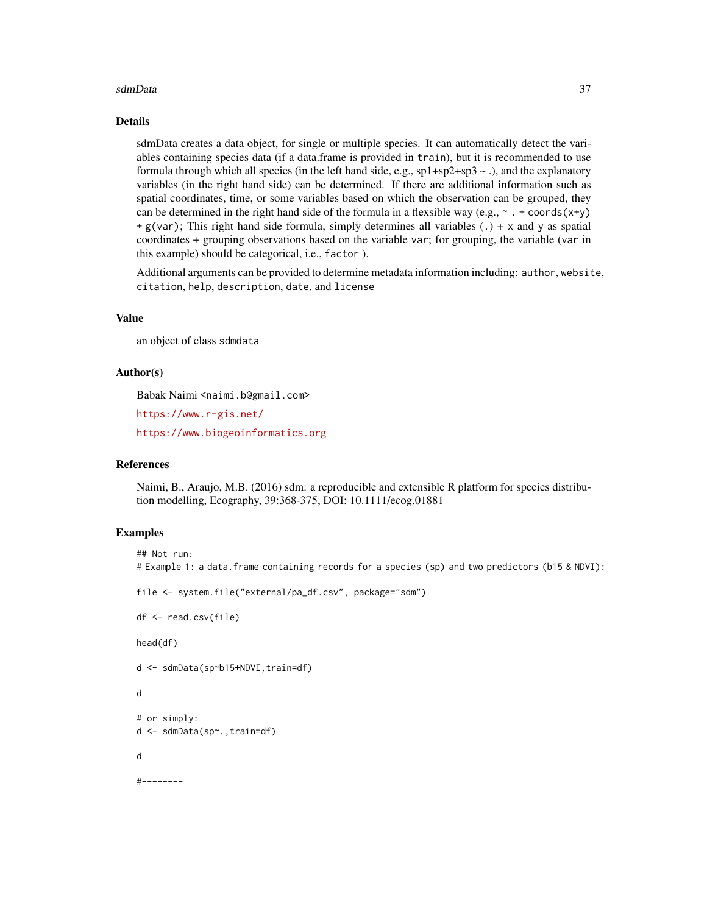#### sdmData 37

#### Details

sdmData creates a data object, for single or multiple species. It can automatically detect the variables containing species data (if a data.frame is provided in train), but it is recommended to use formula through which all species (in the left hand side, e.g., sp1+sp2+sp3 ~ .), and the explanatory variables (in the right hand side) can be determined. If there are additional information such as spatial coordinates, time, or some variables based on which the observation can be grouped, they can be determined in the right hand side of the formula in a flexsible way (e.g.,  $\sim$   $\cdot$  + coords(x+y)  $+ g(\text{var})$ ; This right hand side formula, simply determines all variables (.) + x and y as spatial coordinates + grouping observations based on the variable var; for grouping, the variable (var in this example) should be categorical, i.e., factor ).

Additional arguments can be provided to determine metadata information including: author, website, citation, help, description, date, and license

## Value

an object of class sdmdata

#### Author(s)

Babak Naimi <naimi.b@gmail.com>

<https://www.r-gis.net/>

<https://www.biogeoinformatics.org>

## References

Naimi, B., Araujo, M.B. (2016) sdm: a reproducible and extensible R platform for species distribution modelling, Ecography, 39:368-375, DOI: 10.1111/ecog.01881

#### Examples

```
## Not run:
# Example 1: a data.frame containing records for a species (sp) and two predictors (b15 & NDVI):
file <- system.file("external/pa_df.csv", package="sdm")
df <- read.csv(file)
head(df)
d <- sdmData(sp~b15+NDVI,train=df)
d
# or simply:
d <- sdmData(sp~.,train=df)
d
#--------
```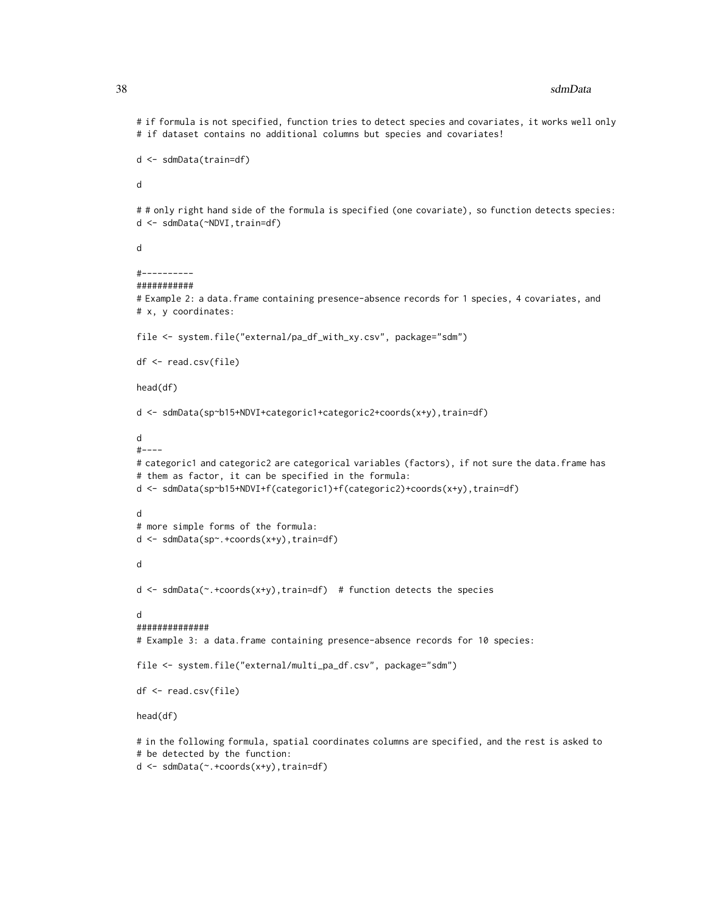# if formula is not specified, function tries to detect species and covariates, it works well only # if dataset contains no additional columns but species and covariates!

```
d <- sdmData(train=df)
```
d

## only right hand side of the formula is specified (one covariate), so function detects species: d <- sdmData(~NDVI,train=df)

d

```
#----------
```

```
###########
```
# Example 2: a data.frame containing presence-absence records for 1 species, 4 covariates, and # x, y coordinates:

file <- system.file("external/pa\_df\_with\_xy.csv", package="sdm")

```
df <- read.csv(file)
```
head(df)

```
d <- sdmData(sp~b15+NDVI+categoric1+categoric2+coords(x+y),train=df)
```

```
d
```

```
#----
```

```
# categoric1 and categoric2 are categorical variables (factors), if not sure the data.frame has
# them as factor, it can be specified in the formula:
d <- sdmData(sp~b15+NDVI+f(categoric1)+f(categoric2)+coords(x+y),train=df)
```
d

```
# more simple forms of the formula:
```

```
d <- sdmData(sp~.+coords(x+y),train=df)
```
d

```
d <- sdmData(~.+coords(x+y),train=df) # function detects the species
```
d

```
##############
```
# Example 3: a data.frame containing presence-absence records for 10 species:

```
file <- system.file("external/multi_pa_df.csv", package="sdm")
```
df <- read.csv(file)

head(df)

# in the following formula, spatial coordinates columns are specified, and the rest is asked to # be detected by the function:

d <- sdmData(~.+coords(x+y),train=df)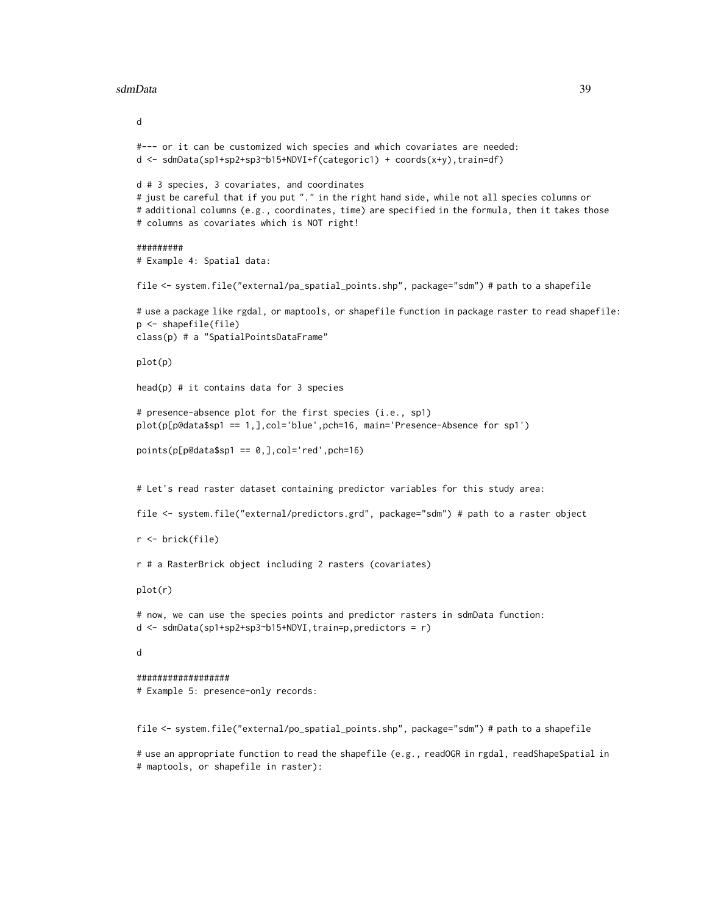#### sdmData 39

```
d
#--- or it can be customized wich species and which covariates are needed:
d <- sdmData(sp1+sp2+sp3~b15+NDVI+f(categoric1) + coords(x+y),train=df)
d # 3 species, 3 covariates, and coordinates
# just be careful that if you put "." in the right hand side, while not all species columns or
# additional columns (e.g., coordinates, time) are specified in the formula, then it takes those
# columns as covariates which is NOT right!
#########
# Example 4: Spatial data:
file <- system.file("external/pa_spatial_points.shp", package="sdm") # path to a shapefile
# use a package like rgdal, or maptools, or shapefile function in package raster to read shapefile:
p <- shapefile(file)
class(p) # a "SpatialPointsDataFrame"
plot(p)
head(p) # it contains data for 3 species
# presence-absence plot for the first species (i.e., sp1)
plot(p[p@data$sp1 == 1,],col='blue',pch=16, main='Presence-Absence for sp1')
points(p[p@data$sp1 == 0,],col='red',pch=16)
# Let's read raster dataset containing predictor variables for this study area:
file <- system.file("external/predictors.grd", package="sdm") # path to a raster object
r <- brick(file)
r # a RasterBrick object including 2 rasters (covariates)
plot(r)
# now, we can use the species points and predictor rasters in sdmData function:
d \le - \text{sdmData}(\text{spl+sp2+sp3\text{-}bl5+NDVI}, \text{train=p}, \text{predictors} = r)d
##################
# Example 5: presence-only records:
file <- system.file("external/po_spatial_points.shp", package="sdm") # path to a shapefile
```
# use an appropriate function to read the shapefile (e.g., readOGR in rgdal, readShapeSpatial in # maptools, or shapefile in raster):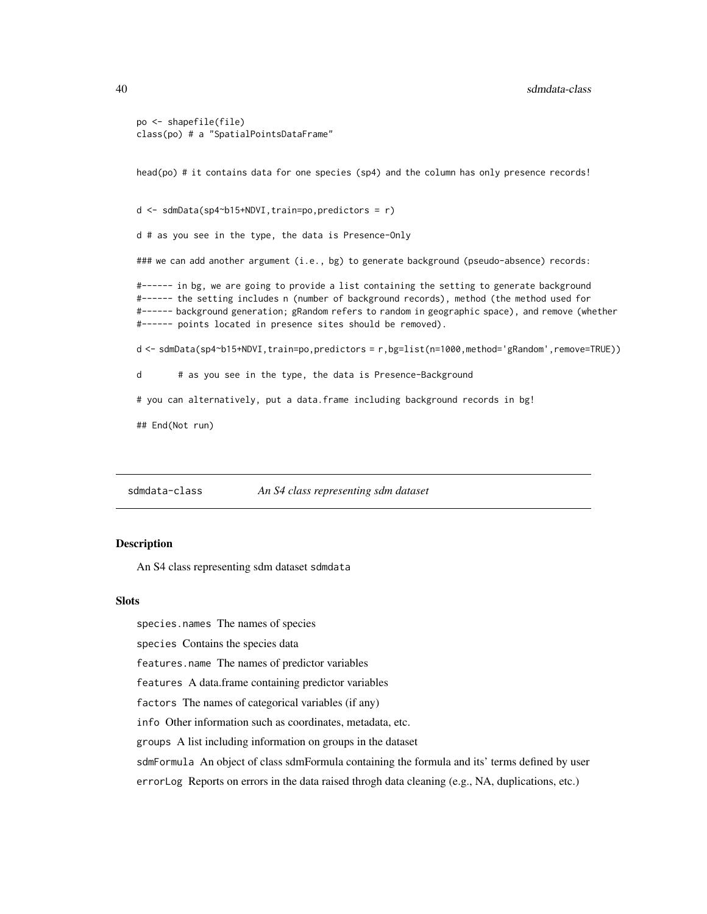```
po <- shapefile(file)
class(po) # a "SpatialPointsDataFrame"
```
head(po) # it contains data for one species (sp4) and the column has only presence records!

 $d \leq - \text{sdmData}(\text{sp4~b15+NDVI}, \text{train=po}, \text{predictors} = r)$ 

d # as you see in the type, the data is Presence-Only

### we can add another argument (i.e., bg) to generate background (pseudo-absence) records:

#------ in bg, we are going to provide a list containing the setting to generate background #------ the setting includes n (number of background records), method (the method used for #------ background generation; gRandom refers to random in geographic space), and remove (whether #------ points located in presence sites should be removed).

d <- sdmData(sp4~b15+NDVI,train=po,predictors = r,bg=list(n=1000,method='gRandom',remove=TRUE))

d # as you see in the type, the data is Presence-Background

# you can alternatively, put a data.frame including background records in bg!

## End(Not run)

sdmdata-class *An S4 class representing sdm dataset*

## Description

An S4 class representing sdm dataset sdmdata

#### Slots

species.names The names of species

species Contains the species data

features.name The names of predictor variables

features A data.frame containing predictor variables

factors The names of categorical variables (if any)

info Other information such as coordinates, metadata, etc.

groups A list including information on groups in the dataset

sdmFormula An object of class sdmFormula containing the formula and its' terms defined by user

errorLog Reports on errors in the data raised throgh data cleaning (e.g., NA, duplications, etc.)

<span id="page-39-0"></span>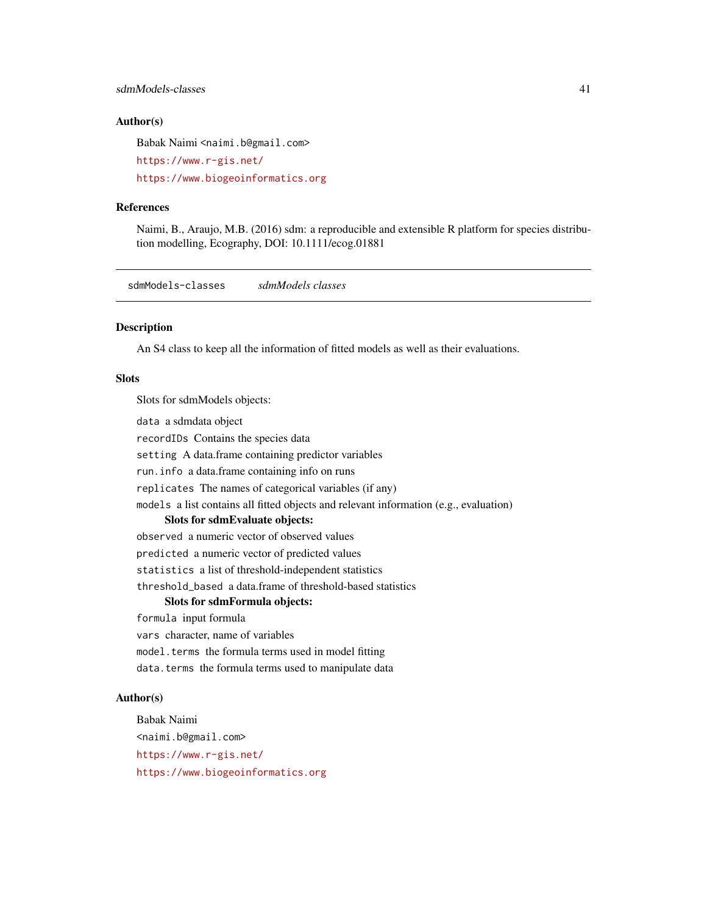## <span id="page-40-0"></span>sdmModels-classes 41

## Author(s)

Babak Naimi <naimi.b@gmail.com>

```
https://www.r-gis.net/
```
<https://www.biogeoinformatics.org>

## References

Naimi, B., Araujo, M.B. (2016) sdm: a reproducible and extensible R platform for species distribution modelling, Ecography, DOI: 10.1111/ecog.01881

sdmModels-classes *sdmModels classes*

## Description

An S4 class to keep all the information of fitted models as well as their evaluations.

#### Slots

Slots for sdmModels objects:

data a sdmdata object

recordIDs Contains the species data

setting A data.frame containing predictor variables

run.info a data.frame containing info on runs

replicates The names of categorical variables (if any)

models a list contains all fitted objects and relevant information (e.g., evaluation)

## Slots for sdmEvaluate objects:

observed a numeric vector of observed values

predicted a numeric vector of predicted values

statistics a list of threshold-independent statistics

threshold\_based a data.frame of threshold-based statistics

## Slots for sdmFormula objects:

formula input formula

vars character, name of variables

model.terms the formula terms used in model fitting

data.terms the formula terms used to manipulate data

## Author(s)

Babak Naimi <naimi.b@gmail.com> <https://www.r-gis.net/> <https://www.biogeoinformatics.org>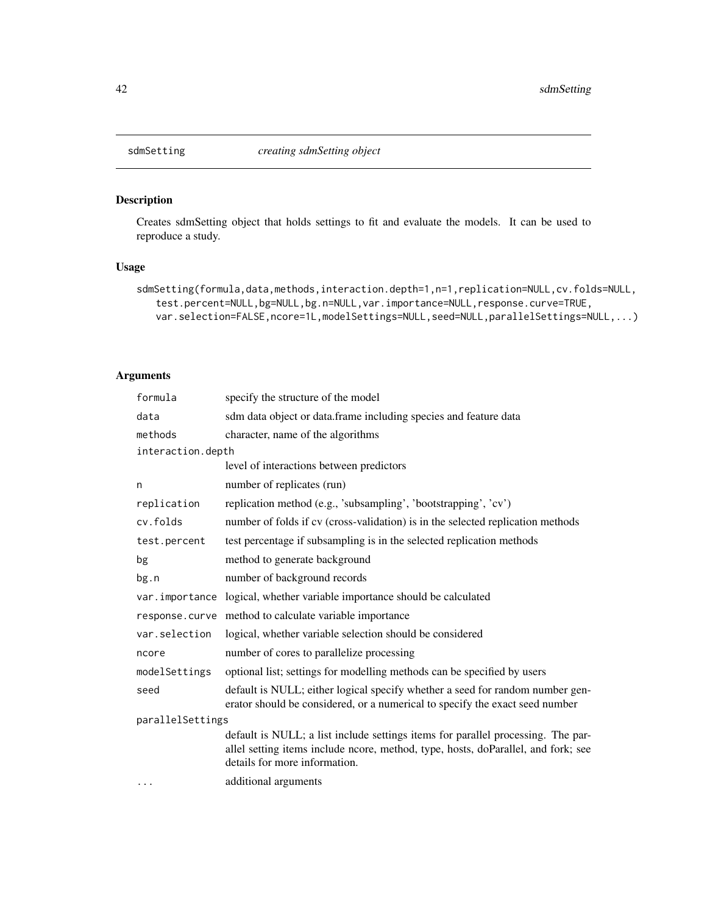<span id="page-41-0"></span>

## Description

Creates sdmSetting object that holds settings to fit and evaluate the models. It can be used to reproduce a study.

## Usage

```
sdmSetting(formula,data,methods,interaction.depth=1,n=1,replication=NULL,cv.folds=NULL,
   test.percent=NULL,bg=NULL,bg.n=NULL,var.importance=NULL,response.curve=TRUE,
   var.selection=FALSE,ncore=1L,modelSettings=NULL,seed=NULL,parallelSettings=NULL,...)
```
## Arguments

| formula           | specify the structure of the model                                                                                                                                                                     |  |
|-------------------|--------------------------------------------------------------------------------------------------------------------------------------------------------------------------------------------------------|--|
| data              | sdm data object or data.frame including species and feature data                                                                                                                                       |  |
| methods           | character, name of the algorithms                                                                                                                                                                      |  |
| interaction.depth |                                                                                                                                                                                                        |  |
|                   | level of interactions between predictors                                                                                                                                                               |  |
| n                 | number of replicates (run)                                                                                                                                                                             |  |
| replication       | replication method (e.g., 'subsampling', 'bootstrapping', 'cv')                                                                                                                                        |  |
| cv.folds          | number of folds if cv (cross-validation) is in the selected replication methods                                                                                                                        |  |
| test.percent      | test percentage if subsampling is in the selected replication methods                                                                                                                                  |  |
| bg                | method to generate background                                                                                                                                                                          |  |
| bg.n              | number of background records                                                                                                                                                                           |  |
| var.importance    | logical, whether variable importance should be calculated                                                                                                                                              |  |
| response.curve    | method to calculate variable importance                                                                                                                                                                |  |
| var.selection     | logical, whether variable selection should be considered                                                                                                                                               |  |
| ncore             | number of cores to parallelize processing                                                                                                                                                              |  |
| modelSettings     | optional list; settings for modelling methods can be specified by users                                                                                                                                |  |
| seed              | default is NULL; either logical specify whether a seed for random number gen-<br>erator should be considered, or a numerical to specify the exact seed number                                          |  |
| parallelSettings  |                                                                                                                                                                                                        |  |
|                   | default is NULL; a list include settings items for parallel processing. The par-<br>allel setting items include ncore, method, type, hosts, doParallel, and fork; see<br>details for more information. |  |
| $\cdots$          | additional arguments                                                                                                                                                                                   |  |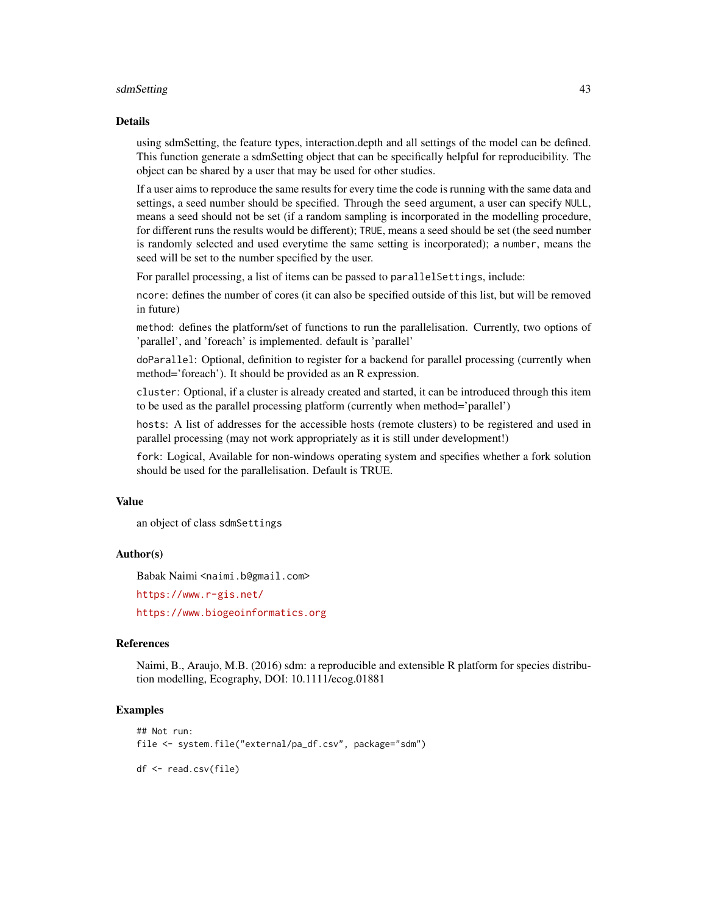#### sdmSetting 43

#### Details

using sdmSetting, the feature types, interaction.depth and all settings of the model can be defined. This function generate a sdmSetting object that can be specifically helpful for reproducibility. The object can be shared by a user that may be used for other studies.

If a user aims to reproduce the same results for every time the code is running with the same data and settings, a seed number should be specified. Through the seed argument, a user can specify NULL, means a seed should not be set (if a random sampling is incorporated in the modelling procedure, for different runs the results would be different); TRUE, means a seed should be set (the seed number is randomly selected and used everytime the same setting is incorporated); a number, means the seed will be set to the number specified by the user.

For parallel processing, a list of items can be passed to parallel Settings, include:

ncore: defines the number of cores (it can also be specified outside of this list, but will be removed in future)

method: defines the platform/set of functions to run the parallelisation. Currently, two options of 'parallel', and 'foreach' is implemented. default is 'parallel'

doParallel: Optional, definition to register for a backend for parallel processing (currently when method='foreach'). It should be provided as an R expression.

cluster: Optional, if a cluster is already created and started, it can be introduced through this item to be used as the parallel processing platform (currently when method='parallel')

hosts: A list of addresses for the accessible hosts (remote clusters) to be registered and used in parallel processing (may not work appropriately as it is still under development!)

fork: Logical, Available for non-windows operating system and specifies whether a fork solution should be used for the parallelisation. Default is TRUE.

#### Value

an object of class sdmSettings

#### Author(s)

Babak Naimi <naimi.b@gmail.com>

<https://www.r-gis.net/>

<https://www.biogeoinformatics.org>

#### References

Naimi, B., Araujo, M.B. (2016) sdm: a reproducible and extensible R platform for species distribution modelling, Ecography, DOI: 10.1111/ecog.01881

## Examples

```
## Not run:
file <- system.file("external/pa_df.csv", package="sdm")
df <- read.csv(file)
```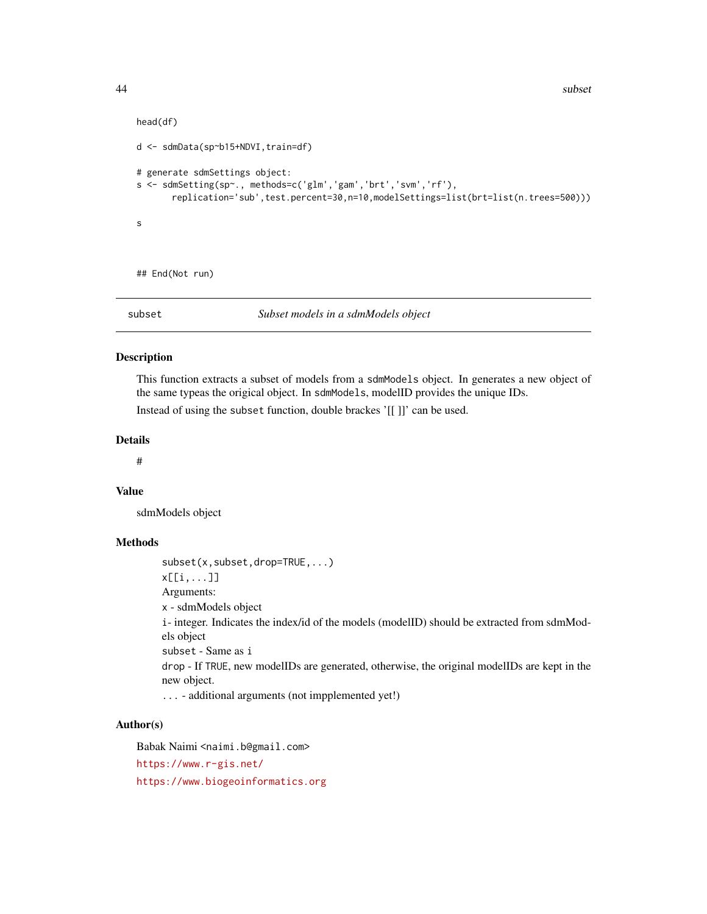```
head(df)
d <- sdmData(sp~b15+NDVI,train=df)
# generate sdmSettings object:
s <- sdmSetting(sp~., methods=c('glm','gam','brt','svm','rf'),
      replication='sub',test.percent=30,n=10,modelSettings=list(brt=list(n.trees=500)))
s
```
## End(Not run)

subset *Subset models in a sdmModels object*

#### Description

This function extracts a subset of models from a sdmModels object. In generates a new object of the same typeas the origical object. In sdmModels, modelID provides the unique IDs.

Instead of using the subset function, double brackes '[[ ]]' can be used.

## Details

#

## Value

sdmModels object

#### Methods

subset(x,subset,drop=TRUE,...) x[[i,...]] Arguments: x - sdmModels object i- integer. Indicates the index/id of the models (modelID) should be extracted from sdmModels object subset - Same as i drop - If TRUE, new modelIDs are generated, otherwise, the original modelIDs are kept in the new object. ... - additional arguments (not impplemented yet!)

## Author(s)

Babak Naimi <naimi.b@gmail.com> <https://www.r-gis.net/> <https://www.biogeoinformatics.org>

<span id="page-43-0"></span>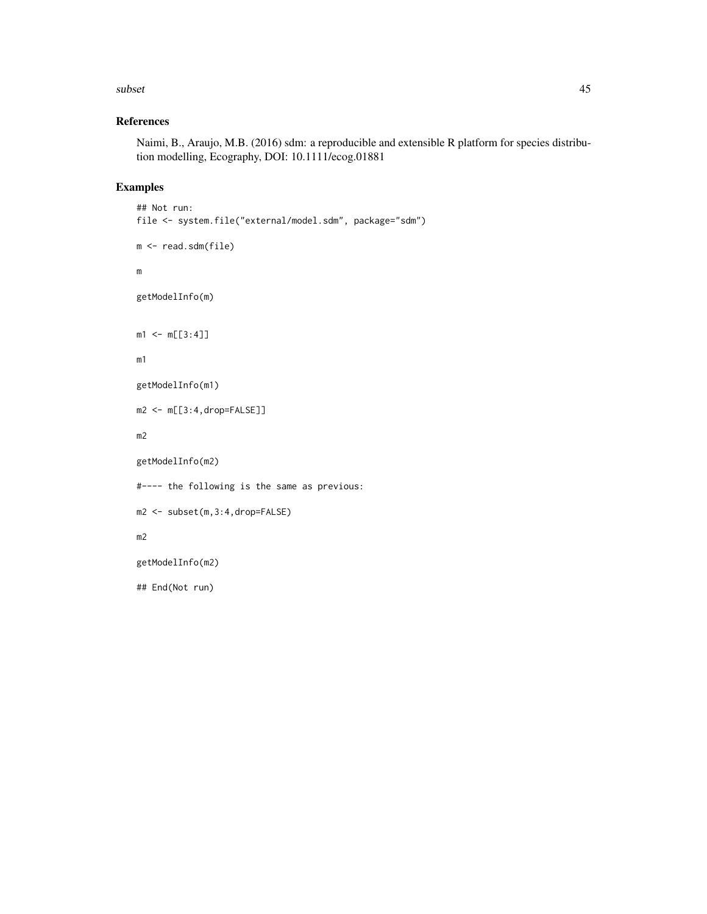#### subset that the subset of the state of the state of the state of the state of the state of the state of the state of the state of the state of the state of the state of the state of the state of the state of the state of t

## References

Naimi, B., Araujo, M.B. (2016) sdm: a reproducible and extensible R platform for species distribution modelling, Ecography, DOI: 10.1111/ecog.01881

## Examples

```
## Not run:
file <- system.file("external/model.sdm", package="sdm")
m <- read.sdm(file)
m
getModelInfo(m)
m1 < -m[[3:4]]m1
getModelInfo(m1)
m2 <- m[[3:4,drop=FALSE]]
m2
getModelInfo(m2)
#---- the following is the same as previous:
m2 <- subset(m,3:4,drop=FALSE)
m2
getModelInfo(m2)
## End(Not run)
```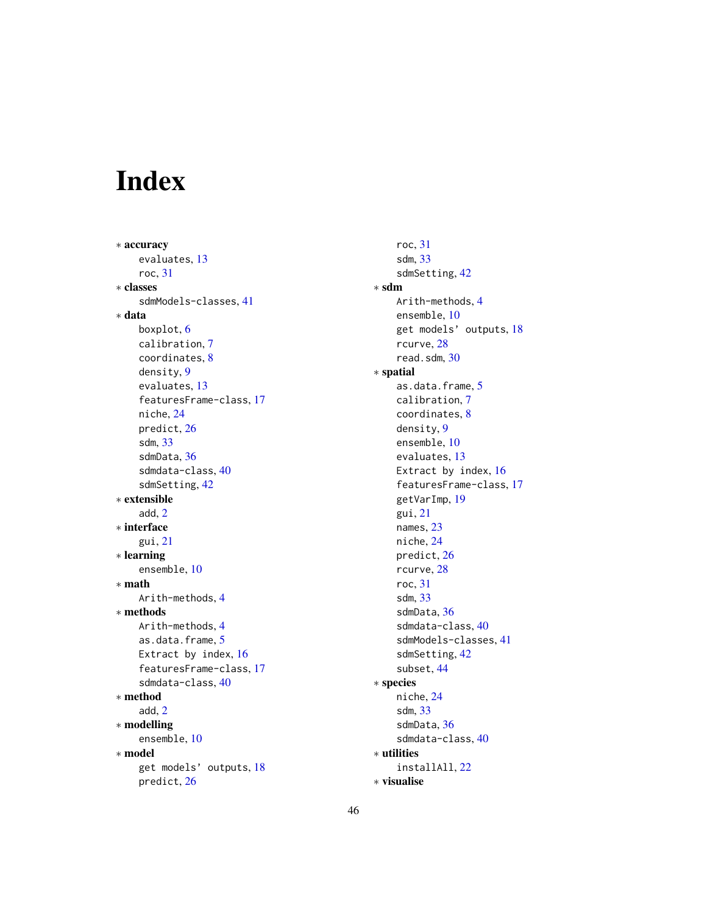# <span id="page-45-0"></span>Index

∗ accuracy evaluates, [13](#page-12-0) roc, [31](#page-30-0) ∗ classes sdmModels-classes, [41](#page-40-0) ∗ data boxplot, [6](#page-5-0) calibration, [7](#page-6-0) coordinates, [8](#page-7-0) density, [9](#page-8-0) evaluates, [13](#page-12-0) featuresFrame-class, [17](#page-16-0) niche, [24](#page-23-0) predict, [26](#page-25-0) sdm, [33](#page-32-0) sdmData, [36](#page-35-0) sdmdata-class, [40](#page-39-0) sdmSetting, [42](#page-41-0) ∗ extensible add, [2](#page-1-0) ∗ interface gui, [21](#page-20-0) ∗ learning ensemble, [10](#page-9-0) ∗ math Arith-methods, [4](#page-3-0) ∗ methods Arith-methods, [4](#page-3-0) as.data.frame, [5](#page-4-0) Extract by index, [16](#page-15-0) featuresFrame-class, [17](#page-16-0) sdmdata-class, [40](#page-39-0) ∗ method add, [2](#page-1-0) ∗ modelling ensemble, [10](#page-9-0) ∗ model get models' outputs, [18](#page-17-0) predict, [26](#page-25-0)

roc, [31](#page-30-0) sdm, [33](#page-32-0) sdmSetting, [42](#page-41-0) ∗ sdm Arith-methods, [4](#page-3-0) ensemble, [10](#page-9-0) get models' outputs, [18](#page-17-0) rcurve, [28](#page-27-0) read.sdm, [30](#page-29-0) ∗ spatial as.data.frame, [5](#page-4-0) calibration, [7](#page-6-0) coordinates, [8](#page-7-0) density, [9](#page-8-0) ensemble, [10](#page-9-0) evaluates, [13](#page-12-0) Extract by index, [16](#page-15-0) featuresFrame-class, [17](#page-16-0) getVarImp, [19](#page-18-0) gui, [21](#page-20-0) names, [23](#page-22-0) niche, [24](#page-23-0) predict, [26](#page-25-0) rcurve, [28](#page-27-0) roc, [31](#page-30-0) sdm, [33](#page-32-0) sdmData, [36](#page-35-0) sdmdata-class, [40](#page-39-0) sdmModels-classes, [41](#page-40-0) sdmSetting, [42](#page-41-0) subset, [44](#page-43-0) ∗ species niche, [24](#page-23-0) sdm, [33](#page-32-0) sdmData, [36](#page-35-0) sdmdata-class, [40](#page-39-0) ∗ utilities installAll, [22](#page-21-0) ∗ visualise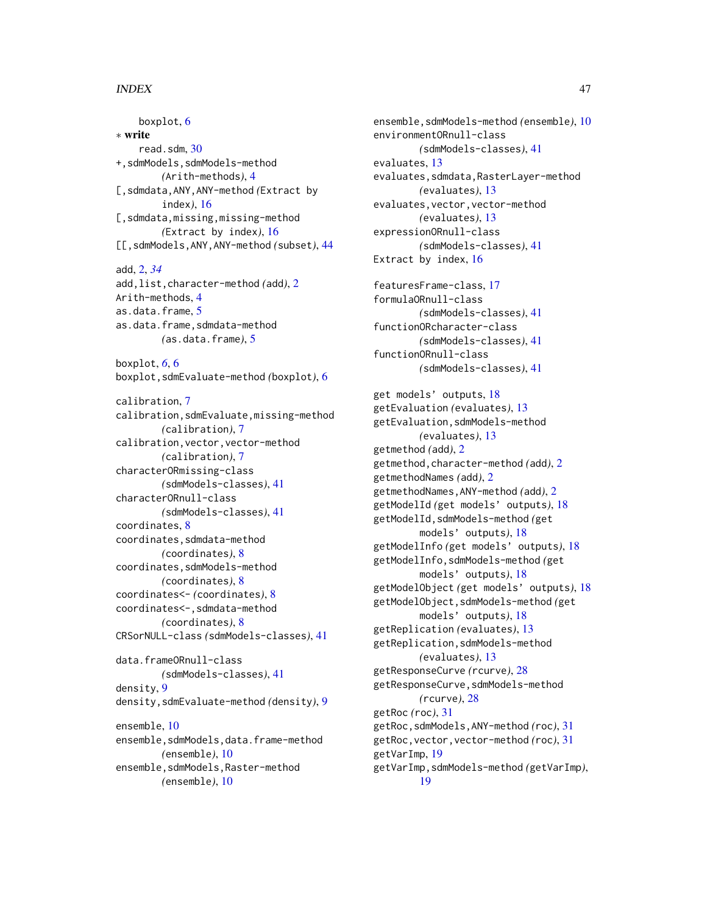## INDEX 47

boxplot, [6](#page-5-0) ∗ write read.sdm, [30](#page-29-0) +,sdmModels,sdmModels-method *(*Arith-methods*)*, [4](#page-3-0) [,sdmdata,ANY,ANY-method *(*Extract by index*)*, [16](#page-15-0) [, sdmdata, missing, missing-method] *(*Extract by index*)*, [16](#page-15-0) [[,sdmModels,ANY,ANY-method *(*subset*)*, [44](#page-43-0) add, [2,](#page-1-0) *[34](#page-33-0)* add,list,character-method *(*add*)*, [2](#page-1-0) Arith-methods, [4](#page-3-0) as.data.frame, [5](#page-4-0) as.data.frame,sdmdata-method *(*as.data.frame*)*, [5](#page-4-0) boxplot, *[6](#page-5-0)*, [6](#page-5-0) boxplot,sdmEvaluate-method *(*boxplot*)*, [6](#page-5-0) calibration, [7](#page-6-0) calibration,sdmEvaluate,missing-method *(*calibration*)*, [7](#page-6-0) calibration,vector,vector-method *(*calibration*)*, [7](#page-6-0) characterORmissing-class *(*sdmModels-classes*)*, [41](#page-40-0) characterORnull-class *(*sdmModels-classes*)*, [41](#page-40-0) coordinates, [8](#page-7-0) coordinates,sdmdata-method *(*coordinates*)*, [8](#page-7-0) coordinates,sdmModels-method *(*coordinates*)*, [8](#page-7-0) coordinates<- *(*coordinates*)*, [8](#page-7-0) coordinates<-,sdmdata-method *(*coordinates*)*, [8](#page-7-0) CRSorNULL-class *(*sdmModels-classes*)*, [41](#page-40-0) data.frameORnull-class *(*sdmModels-classes*)*, [41](#page-40-0) density, [9](#page-8-0) density,sdmEvaluate-method *(*density*)*, [9](#page-8-0) ensemble, [10](#page-9-0) ensemble, sdmModels, data.frame-method *(*ensemble*)*, [10](#page-9-0) ensemble, sdmModels, Raster-method *(*ensemble*)*, [10](#page-9-0)

ensemble,sdmModels-method *(*ensemble*)*, [10](#page-9-0) environmentORnull-class *(*sdmModels-classes*)*, [41](#page-40-0) evaluates, [13](#page-12-0) evaluates,sdmdata,RasterLayer-method *(*evaluates*)*, [13](#page-12-0) evaluates,vector,vector-method *(*evaluates*)*, [13](#page-12-0) expressionORnull-class *(*sdmModels-classes*)*, [41](#page-40-0) Extract by index, [16](#page-15-0) featuresFrame-class, [17](#page-16-0) formulaORnull-class *(*sdmModels-classes*)*, [41](#page-40-0) functionORcharacter-class *(*sdmModels-classes*)*, [41](#page-40-0) functionORnull-class *(*sdmModels-classes*)*, [41](#page-40-0) get models' outputs, [18](#page-17-0) getEvaluation *(*evaluates*)*, [13](#page-12-0) getEvaluation,sdmModels-method *(*evaluates*)*, [13](#page-12-0) getmethod *(*add*)*, [2](#page-1-0) getmethod,character-method *(*add*)*, [2](#page-1-0) getmethodNames *(*add*)*, [2](#page-1-0) getmethodNames,ANY-method *(*add*)*, [2](#page-1-0) getModelId *(*get models' outputs*)*, [18](#page-17-0) getModelId,sdmModels-method *(*get models' outputs*)*, [18](#page-17-0) getModelInfo *(*get models' outputs*)*, [18](#page-17-0) getModelInfo,sdmModels-method *(*get models' outputs*)*, [18](#page-17-0) getModelObject *(*get models' outputs*)*, [18](#page-17-0) getModelObject,sdmModels-method *(*get models' outputs*)*, [18](#page-17-0) getReplication *(*evaluates*)*, [13](#page-12-0) getReplication,sdmModels-method *(*evaluates*)*, [13](#page-12-0) getResponseCurve *(*rcurve*)*, [28](#page-27-0) getResponseCurve,sdmModels-method *(*rcurve*)*, [28](#page-27-0) getRoc *(*roc*)*, [31](#page-30-0) getRoc,sdmModels,ANY-method *(*roc*)*, [31](#page-30-0) getRoc,vector,vector-method *(*roc*)*, [31](#page-30-0) getVarImp, [19](#page-18-0) getVarImp,sdmModels-method *(*getVarImp*)*, [19](#page-18-0)